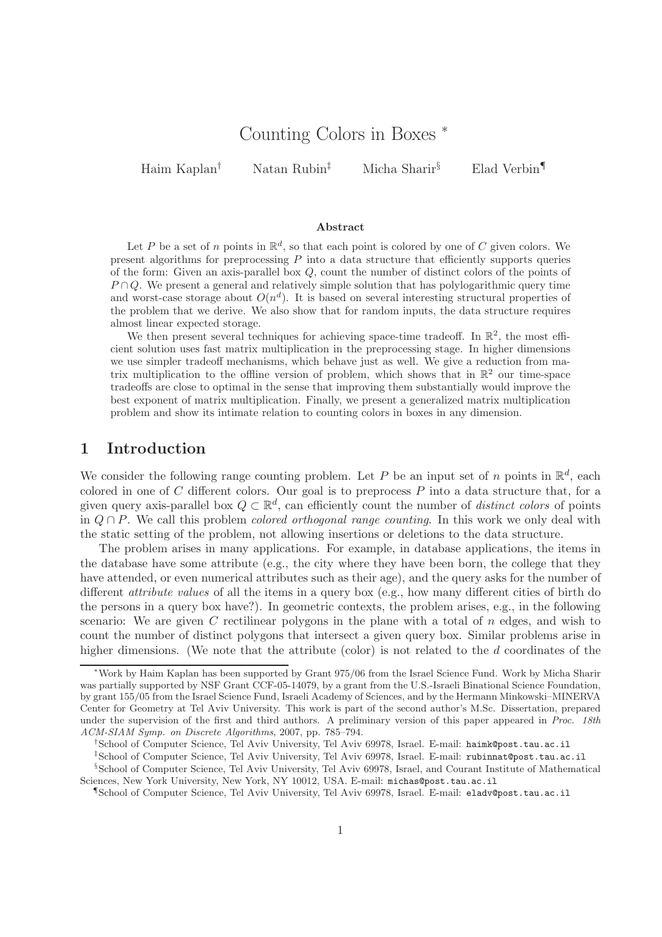# Counting Colors in Boxes <sup>∗</sup>

Haim Kaplan† Natan Rubin‡ Micha Sharir§ Elad Verbin¶

#### Abstract

Let P be a set of n points in  $\mathbb{R}^d$ , so that each point is colored by one of C given colors. We present algorithms for preprocessing  $P$  into a data structure that efficiently supports queries of the form: Given an axis-parallel box Q, count the number of distinct colors of the points of  $P \cap Q$ . We present a general and relatively simple solution that has polylogarithmic query time and worst-case storage about  $O(n^d)$ . It is based on several interesting structural properties of the problem that we derive. We also show that for random inputs, the data structure requires almost linear expected storage.

We then present several techniques for achieving space-time tradeoff. In  $\mathbb{R}^2$ , the most efficient solution uses fast matrix multiplication in the preprocessing stage. In higher dimensions we use simpler tradeoff mechanisms, which behave just as well. We give a reduction from matrix multiplication to the offline version of problem, which shows that in  $\mathbb{R}^2$  our time-space tradeoffs are close to optimal in the sense that improving them substantially would improve the best exponent of matrix multiplication. Finally, we present a generalized matrix multiplication problem and show its intimate relation to counting colors in boxes in any dimension.

## 1 Introduction

We consider the following range counting problem. Let P be an input set of n points in  $\mathbb{R}^d$ , each colored in one of  $C$  different colors. Our goal is to preprocess  $P$  into a data structure that, for a given query axis-parallel box  $Q \subset \mathbb{R}^d$ , can efficiently count the number of *distinct colors* of points in  $Q \cap P$ . We call this problem *colored orthogonal range counting*. In this work we only deal with the static setting of the problem, not allowing insertions or deletions to the data structure.

The problem arises in many applications. For example, in database applications, the items in the database have some attribute (e.g., the city where they have been born, the college that they have attended, or even numerical attributes such as their age), and the query asks for the number of different attribute values of all the items in a query box (e.g., how many different cities of birth do the persons in a query box have?). In geometric contexts, the problem arises, e.g., in the following scenario: We are given C rectilinear polygons in the plane with a total of  $n$  edges, and wish to count the number of distinct polygons that intersect a given query box. Similar problems arise in higher dimensions. (We note that the attribute (color) is not related to the d coordinates of the

<sup>∗</sup>Work by Haim Kaplan has been supported by Grant 975/06 from the Israel Science Fund. Work by Micha Sharir was partially supported by NSF Grant CCF-05-14079, by a grant from the U.S.-Israeli Binational Science Foundation, by grant 155/05 from the Israel Science Fund, Israeli Academy of Sciences, and by the Hermann Minkowski–MINERVA Center for Geometry at Tel Aviv University. This work is part of the second author's M.Sc. Dissertation, prepared under the supervision of the first and third authors. A preliminary version of this paper appeared in Proc. 18th ACM-SIAM Symp. on Discrete Algorithms, 2007, pp. 785–794.

<sup>†</sup>School of Computer Science, Tel Aviv University, Tel Aviv 69978, Israel. E-mail: haimk@post.tau.ac.il

<sup>‡</sup>School of Computer Science, Tel Aviv University, Tel Aviv 69978, Israel. E-mail: rubinnat@post.tau.ac.il

<sup>§</sup>School of Computer Science, Tel Aviv University, Tel Aviv 69978, Israel, and Courant Institute of Mathematical Sciences, New York University, New York, NY 10012, USA. E-mail: michas@post.tau.ac.il

<sup>¶</sup>School of Computer Science, Tel Aviv University, Tel Aviv 69978, Israel. E-mail: eladv@post.tau.ac.il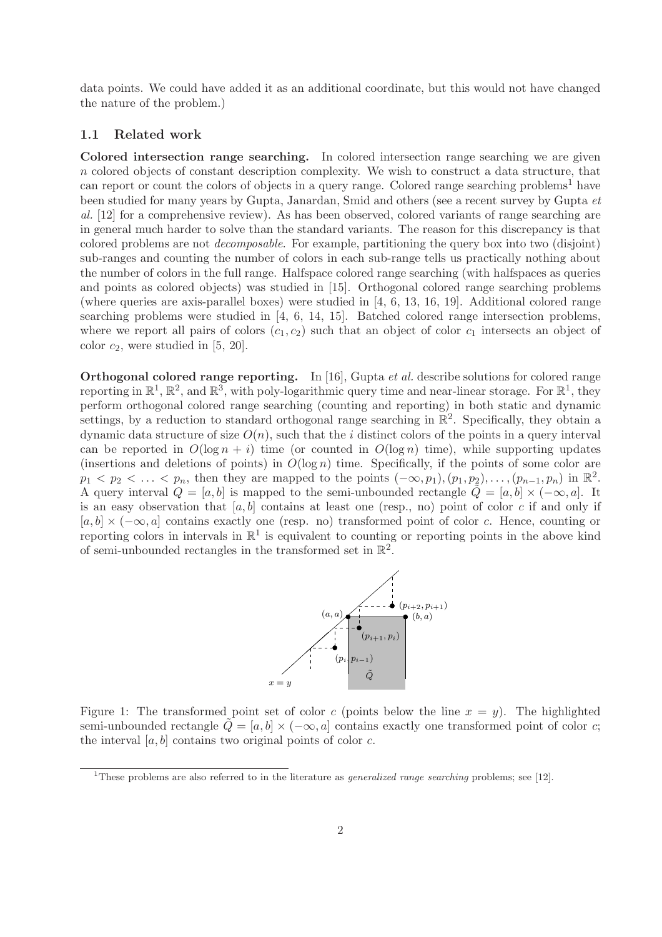data points. We could have added it as an additional coordinate, but this would not have changed the nature of the problem.)

### 1.1 Related work

Colored intersection range searching. In colored intersection range searching we are given n colored objects of constant description complexity. We wish to construct a data structure, that can report or count the colors of objects in a query range. Colored range searching problems<sup>1</sup> have been studied for many years by Gupta, Janardan, Smid and others (see a recent survey by Gupta et al. [12] for a comprehensive review). As has been observed, colored variants of range searching are in general much harder to solve than the standard variants. The reason for this discrepancy is that colored problems are not decomposable. For example, partitioning the query box into two (disjoint) sub-ranges and counting the number of colors in each sub-range tells us practically nothing about the number of colors in the full range. Halfspace colored range searching (with halfspaces as queries and points as colored objects) was studied in [15]. Orthogonal colored range searching problems (where queries are axis-parallel boxes) were studied in [4, 6, 13, 16, 19]. Additional colored range searching problems were studied in [4, 6, 14, 15]. Batched colored range intersection problems, where we report all pairs of colors  $(c_1, c_2)$  such that an object of color  $c_1$  intersects an object of color  $c_2$ , were studied in [5, 20].

Orthogonal colored range reporting. In [16], Gupta et al. describe solutions for colored range reporting in  $\mathbb{R}^1$ ,  $\mathbb{R}^2$ , and  $\mathbb{R}^3$ , with poly-logarithmic query time and near-linear storage. For  $\mathbb{R}^1$ , they perform orthogonal colored range searching (counting and reporting) in both static and dynamic settings, by a reduction to standard orthogonal range searching in  $\mathbb{R}^2$ . Specifically, they obtain a dynamic data structure of size  $O(n)$ , such that the i distinct colors of the points in a query interval can be reported in  $O(\log n + i)$  time (or counted in  $O(\log n)$  time), while supporting updates (insertions and deletions of points) in  $O(\log n)$  time. Specifically, if the points of some color are  $p_1 < p_2 < \ldots < p_n$ , then they are mapped to the points  $(-\infty, p_1), (p_1, p_2), \ldots, (p_{n-1}, p_n)$  in  $\mathbb{R}^2$ . A query interval  $Q = [a, b]$  is mapped to the semi-unbounded rectangle  $\tilde{Q} = [a, b] \times (-\infty, a]$ . It is an easy observation that [a, b] contains at least one (resp., no) point of color c if and only if  $[a, b] \times (-\infty, a]$  contains exactly one (resp. no) transformed point of color c. Hence, counting or reporting colors in intervals in  $\mathbb{R}^1$  is equivalent to counting or reporting points in the above kind of semi-unbounded rectangles in the transformed set in  $\mathbb{R}^2$ .



Figure 1: The transformed point set of color c (points below the line  $x = y$ ). The highlighted semi-unbounded rectangle  $Q = [a, b] \times (-\infty, a]$  contains exactly one transformed point of color c; the interval  $[a, b]$  contains two original points of color c.

<sup>&</sup>lt;sup>1</sup>These problems are also referred to in the literature as *generalized range searching* problems; see [12].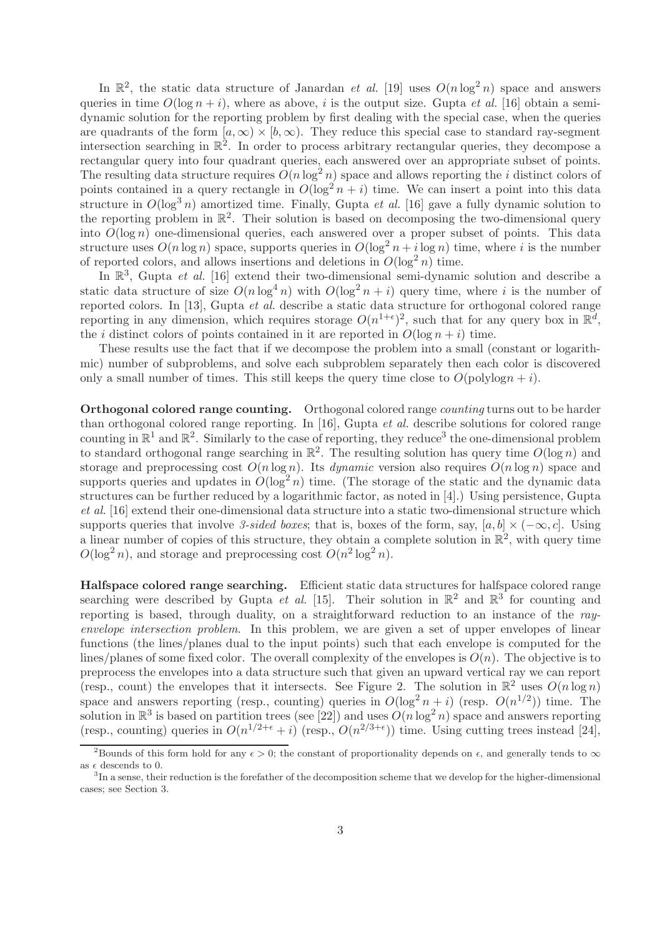In  $\mathbb{R}^2$ , the static data structure of Janardan *et al.* [19] uses  $O(n \log^2 n)$  space and answers queries in time  $O(\log n + i)$ , where as above, i is the output size. Gupta *et al.* [16] obtain a semidynamic solution for the reporting problem by first dealing with the special case, when the queries are quadrants of the form  $[a,\infty) \times [b,\infty)$ . They reduce this special case to standard ray-segment intersection searching in  $\mathbb{R}^2$ . In order to process arbitrary rectangular queries, they decompose a rectangular query into four quadrant queries, each answered over an appropriate subset of points. The resulting data structure requires  $O(n \log^2 n)$  space and allows reporting the *i* distinct colors of points contained in a query rectangle in  $O(\log^2 n + i)$  time. We can insert a point into this data structure in  $O(\log^3 n)$  amortized time. Finally, Gupta *et al.* [16] gave a fully dynamic solution to the reporting problem in  $\mathbb{R}^2$ . Their solution is based on decomposing the two-dimensional query into  $O(\log n)$  one-dimensional queries, each answered over a proper subset of points. This data structure uses  $O(n \log n)$  space, supports queries in  $O(\log^2 n + i \log n)$  time, where i is the number of reported colors, and allows insertions and deletions in  $O(\log^2 n)$  time.

In  $\mathbb{R}^3$ , Gupta *et al.* [16] extend their two-dimensional semi-dynamic solution and describe a static data structure of size  $O(n \log^4 n)$  with  $O(\log^2 n + i)$  query time, where i is the number of reported colors. In [13], Gupta et al. describe a static data structure for orthogonal colored range reporting in any dimension, which requires storage  $O(n^{1+\epsilon})^2$ , such that for any query box in  $\mathbb{R}^d$ , the *i* distinct colors of points contained in it are reported in  $O(\log n + i)$  time.

These results use the fact that if we decompose the problem into a small (constant or logarithmic) number of subproblems, and solve each subproblem separately then each color is discovered only a small number of times. This still keeps the query time close to  $O(\text{polylog} n + i)$ .

Orthogonal colored range counting. Orthogonal colored range counting turns out to be harder than orthogonal colored range reporting. In [16], Gupta et al. describe solutions for colored range counting in  $\mathbb{R}^1$  and  $\mathbb{R}^2$ . Similarly to the case of reporting, they reduce<sup>3</sup> the one-dimensional problem to standard orthogonal range searching in  $\mathbb{R}^2$ . The resulting solution has query time  $O(\log n)$  and storage and preprocessing cost  $O(n \log n)$ . Its *dynamic* version also requires  $O(n \log n)$  space and supports queries and updates in  $O(\log^2 n)$  time. (The storage of the static and the dynamic data structures can be further reduced by a logarithmic factor, as noted in [4].) Using persistence, Gupta et al. [16] extend their one-dimensional data structure into a static two-dimensional structure which supports queries that involve 3-sided boxes; that is, boxes of the form, say, [a, b] × ( $-\infty$ , c]. Using a linear number of copies of this structure, they obtain a complete solution in  $\mathbb{R}^2$ , with query time  $O(\log^2 n)$ , and storage and preprocessing cost  $O(n^2 \log^2 n)$ .

Halfspace colored range searching. Efficient static data structures for halfspace colored range searching were described by Gupta *et al.* [15]. Their solution in  $\mathbb{R}^2$  and  $\mathbb{R}^3$  for counting and reporting is based, through duality, on a straightforward reduction to an instance of the rayenvelope intersection problem. In this problem, we are given a set of upper envelopes of linear functions (the lines/planes dual to the input points) such that each envelope is computed for the lines/planes of some fixed color. The overall complexity of the envelopes is  $O(n)$ . The objective is to preprocess the envelopes into a data structure such that given an upward vertical ray we can report (resp., count) the envelopes that it intersects. See Figure 2. The solution in  $\mathbb{R}^2$  uses  $O(n \log n)$ space and answers reporting (resp., counting) queries in  $O(\log^2 n + i)$  (resp.  $O(n^{1/2})$ ) time. The solution in  $\mathbb{R}^3$  is based on partition trees (see [22]) and uses  $O(n \log^2 n)$  space and answers reporting (resp., counting) queries in  $O(n^{1/2+\epsilon}+i)$  (resp.,  $O(n^{2/3+\epsilon})$ ) time. Using cutting trees instead [24],

<sup>&</sup>lt;sup>2</sup>Bounds of this form hold for any  $\epsilon > 0$ ; the constant of proportionality depends on  $\epsilon$ , and generally tends to  $\infty$ as  $\epsilon$  descends to 0.

<sup>&</sup>lt;sup>3</sup>In a sense, their reduction is the forefather of the decomposition scheme that we develop for the higher-dimensional cases; see Section 3.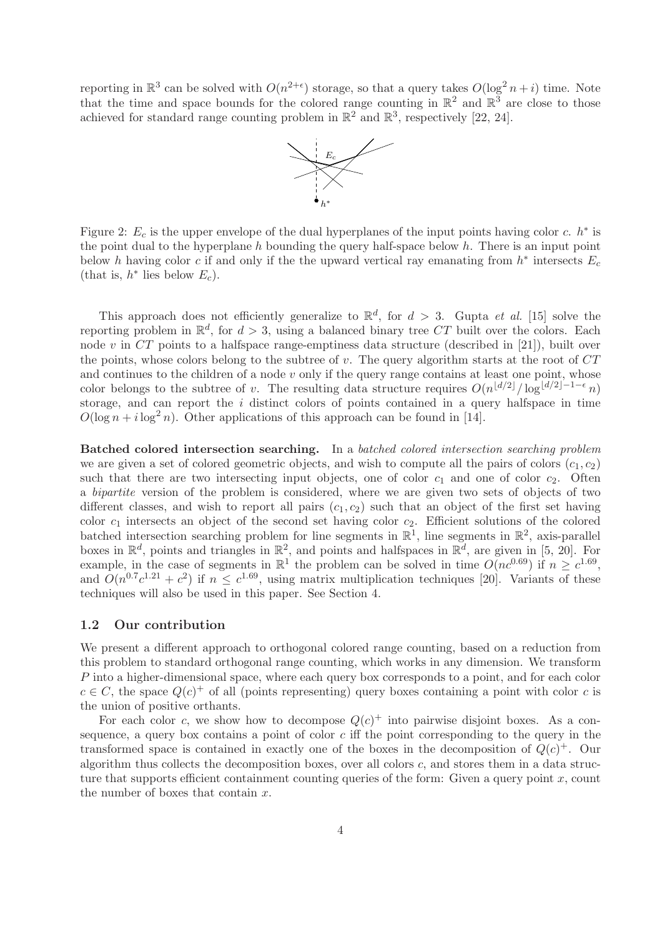reporting in  $\mathbb{R}^3$  can be solved with  $O(n^{2+\epsilon})$  storage, so that a query takes  $O(\log^2 n + i)$  time. Note that the time and space bounds for the colored range counting in  $\mathbb{R}^2$  and  $\mathbb{R}^3$  are close to those achieved for standard range counting problem in  $\mathbb{R}^2$  and  $\mathbb{R}^3$ , respectively [22, 24].



Figure 2:  $E_c$  is the upper envelope of the dual hyperplanes of the input points having color c.  $h^*$  is the point dual to the hyperplane  $h$  bounding the query half-space below  $h$ . There is an input point below h having color c if and only if the the upward vertical ray emanating from  $h^*$  intersects  $E_c$ (that is,  $h^*$  lies below  $E_c$ ).

This approach does not efficiently generalize to  $\mathbb{R}^d$ , for  $d > 3$ . Gupta *et al.* [15] solve the reporting problem in  $\mathbb{R}^d$ , for  $d > 3$ , using a balanced binary tree CT built over the colors. Each node v in  $CT$  points to a halfspace range-emptiness data structure (described in [21]), built over the points, whose colors belong to the subtree of  $v$ . The query algorithm starts at the root of  $CT$ and continues to the children of a node  $v$  only if the query range contains at least one point, whose color belongs to the subtree of v. The resulting data structure requires  $O(n^{\lfloor d/2 \rfloor}/\log^{\lfloor d/2 \rfloor-1-\epsilon} n)$ storage, and can report the  $i$  distinct colors of points contained in a query halfspace in time  $O(\log n + i \log^2 n)$ . Other applications of this approach can be found in [14].

Batched colored intersection searching. In a batched colored intersection searching problem we are given a set of colored geometric objects, and wish to compute all the pairs of colors  $(c_1, c_2)$ such that there are two intersecting input objects, one of color  $c_1$  and one of color  $c_2$ . Often a bipartite version of the problem is considered, where we are given two sets of objects of two different classes, and wish to report all pairs  $(c_1, c_2)$  such that an object of the first set having color  $c_1$  intersects an object of the second set having color  $c_2$ . Efficient solutions of the colored batched intersection searching problem for line segments in  $\mathbb{R}^1$ , line segments in  $\mathbb{R}^2$ , axis-parallel boxes in  $\mathbb{R}^d$ , points and triangles in  $\mathbb{R}^2$ , and points and halfspaces in  $\mathbb{R}^d$ , are given in [5, 20]. For example, in the case of segments in  $\mathbb{R}^1$  the problem can be solved in time  $O(nc^{0.69})$  if  $n \geq c^{1.69}$ , and  $O(n^{0.7}c^{1.21}+c^2)$  if  $n \leq c^{1.69}$ , using matrix multiplication techniques [20]. Variants of these techniques will also be used in this paper. See Section 4.

### 1.2 Our contribution

We present a different approach to orthogonal colored range counting, based on a reduction from this problem to standard orthogonal range counting, which works in any dimension. We transform P into a higher-dimensional space, where each query box corresponds to a point, and for each color  $c \in C$ , the space  $Q(c)^+$  of all (points representing) query boxes containing a point with color c is the union of positive orthants.

For each color c, we show how to decompose  $Q(c)^+$  into pairwise disjoint boxes. As a consequence, a query box contains a point of color  $c$  iff the point corresponding to the query in the transformed space is contained in exactly one of the boxes in the decomposition of  $Q(c)^+$ . Our algorithm thus collects the decomposition boxes, over all colors c, and stores them in a data structure that supports efficient containment counting queries of the form: Given a query point  $x$ , count the number of boxes that contain  $x$ .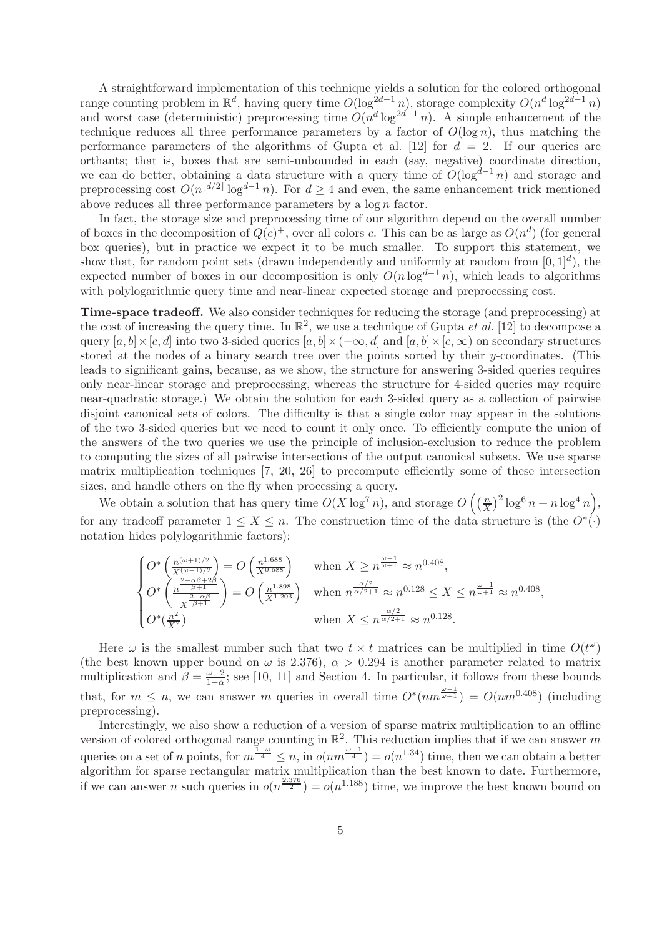A straightforward implementation of this technique yields a solution for the colored orthogonal range counting problem in  $\mathbb{R}^d$ , having query time  $O(\log^{2d-1} n)$ , storage complexity  $O(n^d \log^{2d-1} n)$ and worst case (deterministic) preprocessing time  $O(n^d \log^{2d-1} n)$ . A simple enhancement of the technique reduces all three performance parameters by a factor of  $O(\log n)$ , thus matching the performance parameters of the algorithms of Gupta et al. [12] for  $d = 2$ . If our queries are orthants; that is, boxes that are semi-unbounded in each (say, negative) coordinate direction, we can do better, obtaining a data structure with a query time of  $O(log^{d-1} n)$  and storage and preprocessing cost  $O(n^{\lfloor d/2 \rfloor} \log^{d-1} n)$ . For  $d \geq 4$  and even, the same enhancement trick mentioned above reduces all three performance parameters by a  $\log n$  factor.

In fact, the storage size and preprocessing time of our algorithm depend on the overall number of boxes in the decomposition of  $Q(c)^+$ , over all colors c. This can be as large as  $O(n^d)$  (for general box queries), but in practice we expect it to be much smaller. To support this statement, we show that, for random point sets (drawn independently and uniformly at random from  $[0,1]^d$ ), the expected number of boxes in our decomposition is only  $O(n \log^{d-1} n)$ , which leads to algorithms with polylogarithmic query time and near-linear expected storage and preprocessing cost.

Time-space tradeoff. We also consider techniques for reducing the storage (and preprocessing) at the cost of increasing the query time. In  $\mathbb{R}^2$ , we use a technique of Gupta *et al.* [12] to decompose a query  $[a, b] \times [c, d]$  into two 3-sided queries  $[a, b] \times (-\infty, d]$  and  $[a, b] \times [c, \infty)$  on secondary structures stored at the nodes of a binary search tree over the points sorted by their  $y$ -coordinates. (This leads to significant gains, because, as we show, the structure for answering 3-sided queries requires only near-linear storage and preprocessing, whereas the structure for 4-sided queries may require near-quadratic storage.) We obtain the solution for each 3-sided query as a collection of pairwise disjoint canonical sets of colors. The difficulty is that a single color may appear in the solutions of the two 3-sided queries but we need to count it only once. To efficiently compute the union of the answers of the two queries we use the principle of inclusion-exclusion to reduce the problem to computing the sizes of all pairwise intersections of the output canonical subsets. We use sparse matrix multiplication techniques [7, 20, 26] to precompute efficiently some of these intersection sizes, and handle others on the fly when processing a query.

We obtain a solution that has query time  $O(X \log^7 n)$ , and storage  $O\left(\frac{n}{X}\right)$  $\left(\frac{n}{X}\right)^2 \log^6 n + n \log^4 n$ , for any tradeoff parameter  $1 \leq X \leq n$ . The construction time of the data structure is (the  $O^*(.)$ notation hides polylogarithmic factors):

$$
\begin{cases}\nO^*\left(\frac{n^{(\omega+1)/2}}{X^{(\omega-1)/2}}\right) = O\left(\frac{n^{1.688}}{X^{0.688}}\right) & \text{when } X \ge n^{\frac{\omega-1}{\omega+1}} \approx n^{0.408}, \\
O^*\left(\frac{n^{2-\alpha\beta+2\beta}}{X^{\frac{2-\alpha\beta}{\beta+1}}}\right) = O\left(\frac{n^{1.898}}{X^{1.203}}\right) & \text{when } n^{\frac{\alpha/2}{\alpha/2+1}} \approx n^{0.128} \le X \le n^{\frac{\omega-1}{\omega+1}} \approx n^{0.408}, \\
O^*(\frac{n^2}{X^2}) & \text{when } X \le n^{\frac{\alpha/2}{\alpha/2+1}} \approx n^{0.128}.\n\end{cases}
$$

Here  $\omega$  is the smallest number such that two  $t \times t$  matrices can be multiplied in time  $O(t^{\omega})$ (the best known upper bound on  $\omega$  is 2.376),  $\alpha > 0.294$  is another parameter related to matrix multiplication and  $\beta = \frac{\omega - 2}{1 - \alpha}$  $\frac{\omega - 2}{1 - \alpha}$ ; see [10, 11] and Section 4. In particular, it follows from these bounds that, for  $m \leq n$ , we can answer m queries in overall time  $O^*(nm^{\frac{\omega-1}{\omega+1}}) = O(nm^{0.408})$  (including preprocessing).

Interestingly, we also show a reduction of a version of sparse matrix multiplication to an offline version of colored orthogonal range counting in  $\mathbb{R}^2$ . This reduction implies that if we can answer m queries on a set of n points, for  $m^{\frac{1+\omega}{4}} \leq n$ , in  $o(nm^{\frac{\omega-1}{4}}) = o(n^{1.34})$  time, then we can obtain a better algorithm for sparse rectangular matrix multiplication than the best known to date. Furthermore, if we can answer *n* such queries in  $o(n^{\frac{2.376}{2}}) = o(n^{1.188})$  time, we improve the best known bound on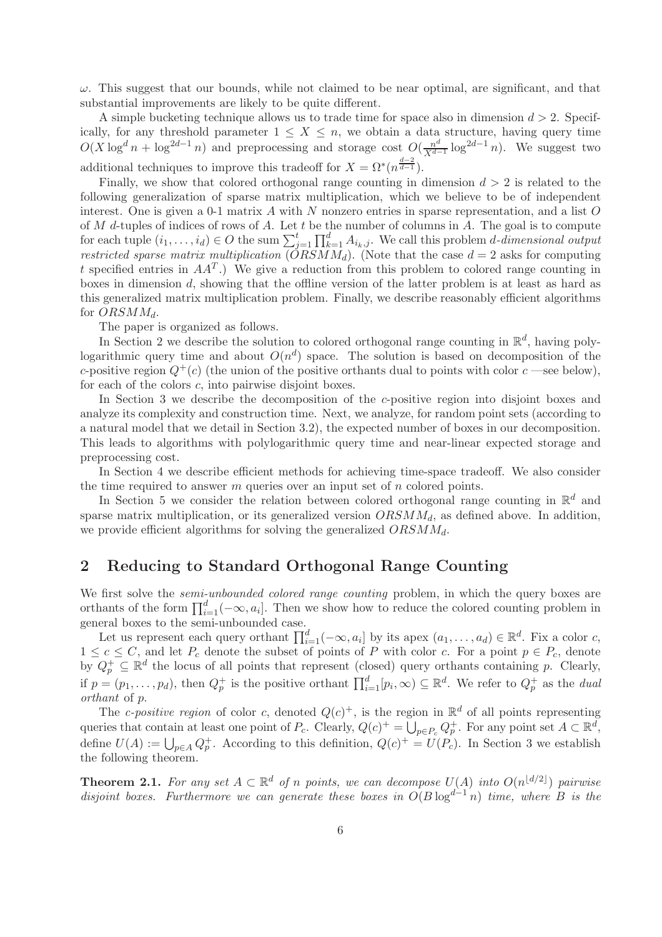$\omega$ . This suggest that our bounds, while not claimed to be near optimal, are significant, and that substantial improvements are likely to be quite different.

A simple bucketing technique allows us to trade time for space also in dimension  $d > 2$ . Specifically, for any threshold parameter  $1 \leq X \leq n$ , we obtain a data structure, having query time  $O(X \log^d n + \log^{2d-1} n)$  and preprocessing and storage cost  $O(\frac{n^d}{X^d-1})$  $\frac{n^d}{X^{d-1}} \log^{2d-1} n$ ). We suggest two additional techniques to improve this tradeoff for  $X = \Omega^*(n^{\frac{d-2}{d-1}})$ .

Finally, we show that colored orthogonal range counting in dimension  $d > 2$  is related to the following generalization of sparse matrix multiplication, which we believe to be of independent interest. One is given a 0-1 matrix  $A$  with  $N$  nonzero entries in sparse representation, and a list  $O$ of  $M$  d-tuples of indices of rows of  $A$ . Let  $t$  be the number of columns in  $A$ . The goal is to compute for each tuple  $(i_1,\ldots,i_d) \in O$  the sum  $\sum_{j=1}^t \prod_{k=1}^d A_{i_k,j}$ . We call this problem *d*-dimensional output restricted sparse matrix multiplication  $(ORSMM_d)$ . (Note that the case  $d = 2$  asks for computing t specified entries in  $AA<sup>T</sup>$ .) We give a reduction from this problem to colored range counting in boxes in dimension d, showing that the offline version of the latter problem is at least as hard as this generalized matrix multiplication problem. Finally, we describe reasonably efficient algorithms for  $ORSMM_d$ .

The paper is organized as follows.

In Section 2 we describe the solution to colored orthogonal range counting in  $\mathbb{R}^d$ , having polylogarithmic query time and about  $O(n^d)$  space. The solution is based on decomposition of the c-positive region  $Q^+(c)$  (the union of the positive orthants dual to points with color  $c$  —see below), for each of the colors c, into pairwise disjoint boxes.

In Section 3 we describe the decomposition of the c-positive region into disjoint boxes and analyze its complexity and construction time. Next, we analyze, for random point sets (according to a natural model that we detail in Section 3.2), the expected number of boxes in our decomposition. This leads to algorithms with polylogarithmic query time and near-linear expected storage and preprocessing cost.

In Section 4 we describe efficient methods for achieving time-space tradeoff. We also consider the time required to answer  $m$  queries over an input set of  $n$  colored points.

In Section 5 we consider the relation between colored orthogonal range counting in  $\mathbb{R}^d$  and sparse matrix multiplication, or its generalized version  $ORSMM_d$ , as defined above. In addition, we provide efficient algorithms for solving the generalized  $ORSMM_d$ .

# 2 Reducing to Standard Orthogonal Range Counting

We first solve the *semi-unbounded colored range counting* problem, in which the query boxes are orthants of the form  $\prod_{i=1}^{d}(-\infty, a_i]$ . Then we show how to reduce the colored counting problem in general boxes to the semi-unbounded case.

Let us represent each query orthant  $\prod_{i=1}^{d}(-\infty, a_i]$  by its apex  $(a_1, \ldots, a_d) \in \mathbb{R}^d$ . Fix a color c,  $1 \leq c \leq C$ , and let  $P_c$  denote the subset of points of P with color c. For a point  $p \in P_c$ , denote by  $Q_p^+ \subseteq \mathbb{R}^d$  the locus of all points that represent (closed) query orthants containing p. Clearly, if  $p=(p_1,\ldots,p_d)$ , then  $Q_p^+$  is the positive orthant  $\prod_{i=1}^d[p_i,\infty)\subseteq\mathbb{R}^d$ . We refer to  $Q_p^+$  as the *dual* orthant of p.

The c-positive region of color c, denoted  $Q(c)^+$ , is the region in  $\mathbb{R}^d$  of all points representing queries that contain at least one point of  $P_c$ . Clearly,  $Q(c)^{+} = \bigcup_{p \in P_c} Q_p^{+}$ . For any point set  $A \subset \mathbb{R}^d$ , define  $U(A) := \bigcup_{p \in A} Q_p^+$ . According to this definition,  $Q(c)^+ = U(P_c)$ . In Section 3 we establish the following theorem.

**Theorem 2.1.** For any set  $A \subset \mathbb{R}^d$  of n points, we can decompose  $U(A)$  into  $O(n^{\lfloor d/2 \rfloor})$  pairwise disjoint boxes. Furthermore we can generate these boxes in  $O(B \log^{d-1} n)$  time, where B is the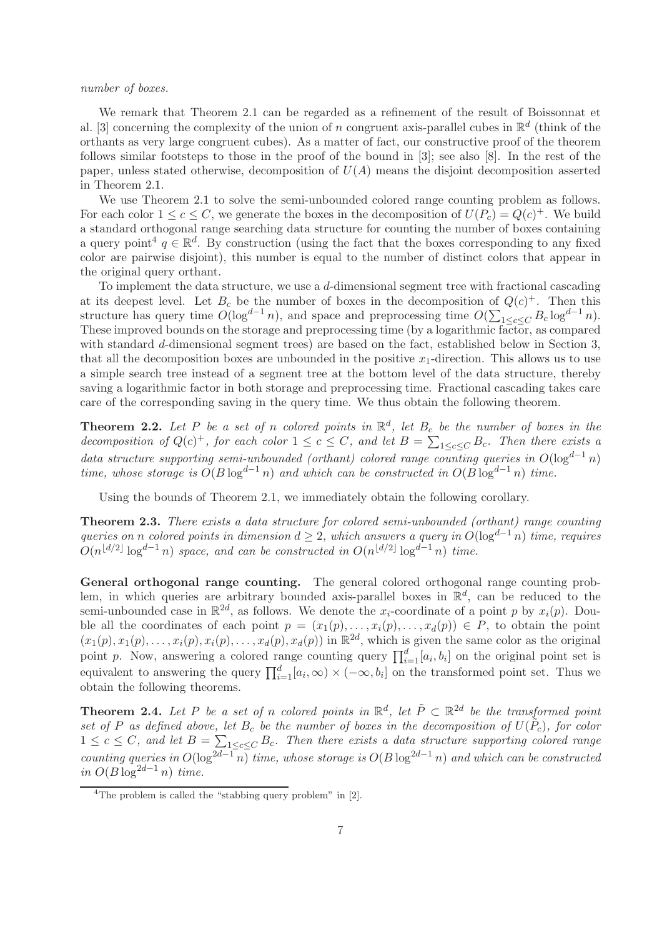#### number of boxes.

We remark that Theorem 2.1 can be regarded as a refinement of the result of Boissonnat et al. [3] concerning the complexity of the union of n congruent axis-parallel cubes in  $\mathbb{R}^d$  (think of the orthants as very large congruent cubes). As a matter of fact, our constructive proof of the theorem follows similar footsteps to those in the proof of the bound in [3]; see also [8]. In the rest of the paper, unless stated otherwise, decomposition of  $U(A)$  means the disjoint decomposition asserted in Theorem 2.1.

We use Theorem 2.1 to solve the semi-unbounded colored range counting problem as follows. For each color  $1 \leq c \leq C$ , we generate the boxes in the decomposition of  $U(P_c) = Q(c)^+$ . We build a standard orthogonal range searching data structure for counting the number of boxes containing a query point<sup>4</sup>  $q \in \mathbb{R}^d$ . By construction (using the fact that the boxes corresponding to any fixed color are pairwise disjoint), this number is equal to the number of distinct colors that appear in the original query orthant.

To implement the data structure, we use a d-dimensional segment tree with fractional cascading at its deepest level. Let  $B_c$  be the number of boxes in the decomposition of  $Q(c)^+$ . Then this structure has query time  $O(\log^{d-1} n)$ , and space and preprocessing time  $O(\sum_{1 \leq c \leq C} B_c \log^{d-1} n)$ . These improved bounds on the storage and preprocessing time (by a logarithmic factor, as compared with standard d-dimensional segment trees) are based on the fact, established below in Section 3, that all the decomposition boxes are unbounded in the positive  $x_1$ -direction. This allows us to use a simple search tree instead of a segment tree at the bottom level of the data structure, thereby saving a logarithmic factor in both storage and preprocessing time. Fractional cascading takes care care of the corresponding saving in the query time. We thus obtain the following theorem.

**Theorem 2.2.** Let P be a set of n colored points in  $\mathbb{R}^d$ , let  $B_c$  be the number of boxes in the decomposition of  $Q(c)^+$ , for each color  $1 \leq c \leq C$ , and let  $B = \sum_{1 \leq c \leq C} B_c$ . Then there exists a data structure supporting semi-unbounded (orthant) colored range counting queries in  $O(\log^{d-1} n)$ time, whose storage is  $O(B \log^{d-1} n)$  and which can be constructed in  $O(B \log^{d-1} n)$  time.

Using the bounds of Theorem 2.1, we immediately obtain the following corollary.

Theorem 2.3. There exists a data structure for colored semi-unbounded (orthant) range counting queries on n colored points in dimension  $d \geq 2$ , which answers a query in  $O(\log^{d-1} n)$  time, requires  $O(n^{\lfloor d/2 \rfloor} \log^{d-1} n)$  space, and can be constructed in  $O(n^{\lfloor d/2 \rfloor} \log^{d-1} n)$  time.

General orthogonal range counting. The general colored orthogonal range counting problem, in which queries are arbitrary bounded axis-parallel boxes in  $\mathbb{R}^d$ , can be reduced to the semi-unbounded case in  $\mathbb{R}^{2d}$ , as follows. We denote the  $x_i$ -coordinate of a point p by  $x_i(p)$ . Double all the coordinates of each point  $p = (x_1(p), \ldots, x_i(p), \ldots, x_d(p)) \in P$ , to obtain the point  $(x_1(p), x_1(p), \ldots, x_i(p), x_i(p), \ldots, x_d(p), x_d(p))$  in  $\mathbb{R}^{2d}$ , which is given the same color as the original point p. Now, answering a colored range counting query  $\prod_{i=1}^{d} [a_i, b_i]$  on the original point set is equivalent to answering the query  $\prod_{i=1}^{d} [a_i, \infty) \times (-\infty, b_i]$  on the transformed point set. Thus we obtain the following theorems.

**Theorem 2.4.** Let P be a set of n colored points in  $\mathbb{R}^d$ , let  $\tilde{P} \subset \mathbb{R}^{2d}$  be the transformed point set of P as defined above, let  $B_c$  be the number of boxes in the decomposition of  $U(\tilde{P}_c)$ , for color  $1 \leq c \leq C$ , and let  $B = \sum_{1 \leq c \leq C} B_c$ . Then there exists a data structure supporting colored range counting queries in  $O(\log^{2d-1} n)$  time, whose storage is  $O(B \log^{2d-1} n)$  and which can be constructed in  $O(B \log^{2d-1} n)$  time.

<sup>&</sup>lt;sup>4</sup>The problem is called the "stabbing query problem" in [2].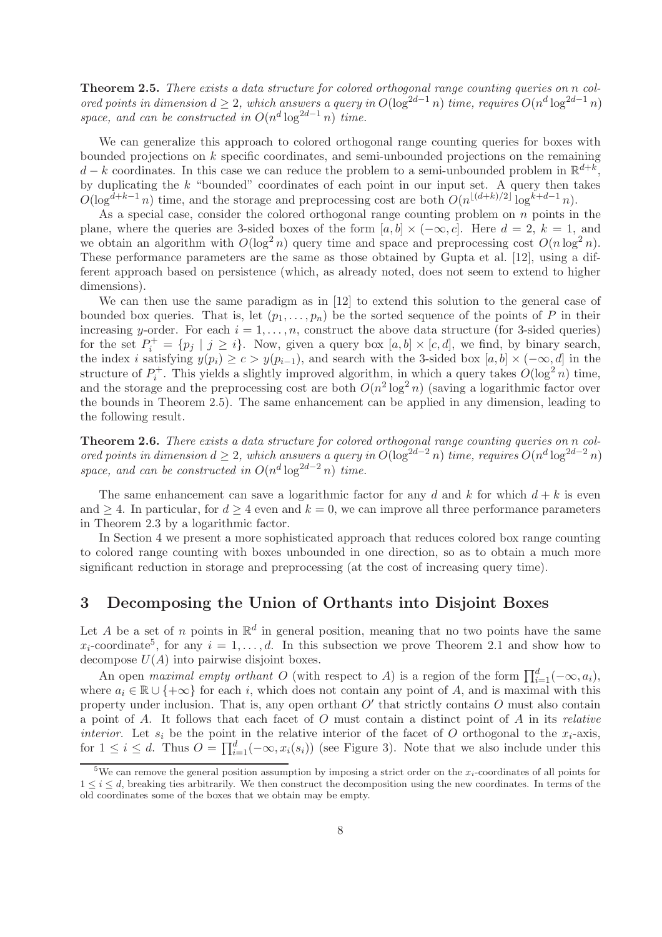Theorem 2.5. There exists a data structure for colored orthogonal range counting queries on n colored points in dimension  $d \geq 2$ , which answers a query in  $O(\log^{2d-1} n)$  time, requires  $O(n^d \log^{2d-1} n)$ space, and can be constructed in  $O(n^d \log^{2d-1} n)$  time.

We can generalize this approach to colored orthogonal range counting queries for boxes with bounded projections on  $k$  specific coordinates, and semi-unbounded projections on the remaining  $d - k$  coordinates. In this case we can reduce the problem to a semi-unbounded problem in  $\mathbb{R}^{d+k}$ , by duplicating the  $k$  "bounded" coordinates of each point in our input set. A query then takes  $O(\log^{d+k-1} n)$  time, and the storage and preprocessing cost are both  $O(n^{\lfloor (d+k)/2 \rfloor} \log^{k+d-1} n)$ .

As a special case, consider the colored orthogonal range counting problem on  $n$  points in the plane, where the queries are 3-sided boxes of the form  $[a, b] \times (-\infty, c]$ . Here  $d = 2$ ,  $k = 1$ , and we obtain an algorithm with  $O(\log^2 n)$  query time and space and preprocessing cost  $O(n \log^2 n)$ . These performance parameters are the same as those obtained by Gupta et al. [12], using a different approach based on persistence (which, as already noted, does not seem to extend to higher dimensions).

We can then use the same paradigm as in [12] to extend this solution to the general case of bounded box queries. That is, let  $(p_1, \ldots, p_n)$  be the sorted sequence of the points of P in their increasing y-order. For each  $i = 1, \ldots, n$ , construct the above data structure (for 3-sided queries) for the set  $P_i^+ = \{p_j \mid j \geq i\}$ . Now, given a query box  $[a, b] \times [c, d]$ , we find, by binary search, the index i satisfying  $y(p_i) \ge c > y(p_{i-1})$ , and search with the 3-sided box  $[a, b] \times (-\infty, d]$  in the structure of  $P_i^+$ . This yields a slightly improved algorithm, in which a query takes  $O(\log^2 n)$  time, and the storage and the preprocessing cost are both  $O(n^2 \log^2 n)$  (saving a logarithmic factor over the bounds in Theorem 2.5). The same enhancement can be applied in any dimension, leading to the following result.

Theorem 2.6. There exists a data structure for colored orthogonal range counting queries on n colored points in dimension  $d \geq 2$ , which answers a query in  $O(\log^{2d-2} n)$  time, requires  $O(n^d \log^{2d-2} n)$ space, and can be constructed in  $O(n^d \log^{2d-2} n)$  time.

The same enhancement can save a logarithmic factor for any d and k for which  $d + k$  is even and  $\geq 4$ . In particular, for  $d \geq 4$  even and  $k = 0$ , we can improve all three performance parameters in Theorem 2.3 by a logarithmic factor.

In Section 4 we present a more sophisticated approach that reduces colored box range counting to colored range counting with boxes unbounded in one direction, so as to obtain a much more significant reduction in storage and preprocessing (at the cost of increasing query time).

# 3 Decomposing the Union of Orthants into Disjoint Boxes

Let A be a set of n points in  $\mathbb{R}^d$  in general position, meaning that no two points have the same  $x_i$ -coordinate<sup>5</sup>, for any  $i = 1, ..., d$ . In this subsection we prove Theorem 2.1 and show how to decompose  $U(A)$  into pairwise disjoint boxes.

An open maximal empty orthant O (with respect to A) is a region of the form  $\prod_{i=1}^{d}(-\infty, a_i)$ , where  $a_i \in \mathbb{R} \cup \{+\infty\}$  for each i, which does not contain any point of A, and is maximal with this property under inclusion. That is, any open orthant  $O'$  that strictly contains  $O$  must also contain a point of A. It follows that each facet of  $O$  must contain a distinct point of  $A$  in its *relative interior.* Let  $s_i$  be the point in the relative interior of the facet of O orthogonal to the  $x_i$ -axis, for  $1 \leq i \leq d$ . Thus  $O = \prod_{i=1}^{d} (-\infty, x_i(s_i))$  (see Figure 3). Note that we also include under this

<sup>&</sup>lt;sup>5</sup>We can remove the general position assumption by imposing a strict order on the  $x_i$ -coordinates of all points for  $1 \leq i \leq d$ , breaking ties arbitrarily. We then construct the decomposition using the new coordinates. In terms of the old coordinates some of the boxes that we obtain may be empty.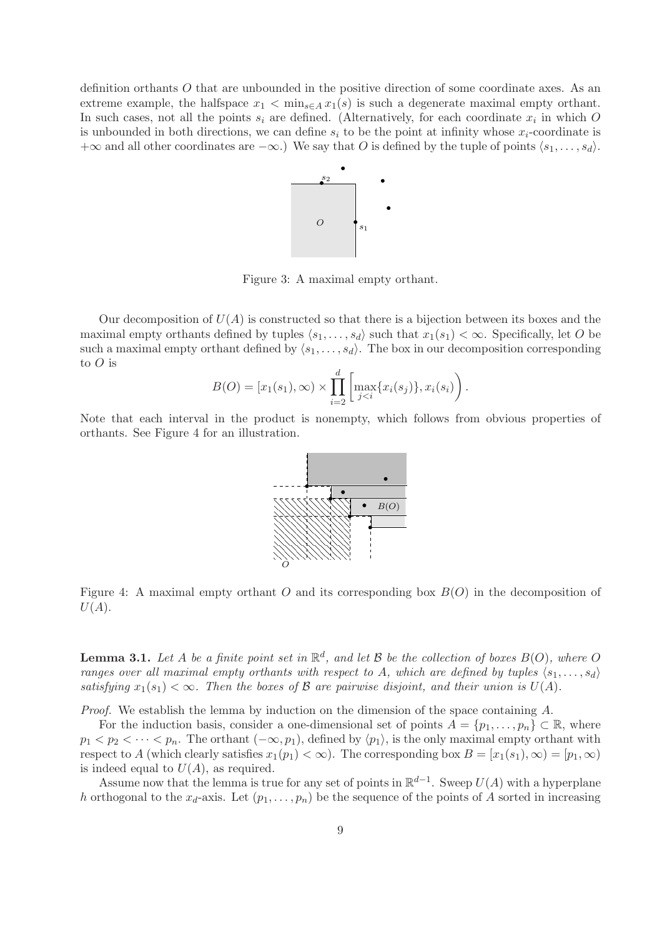definition orthants O that are unbounded in the positive direction of some coordinate axes. As an extreme example, the halfspace  $x_1 < \min_{s \in A} x_1(s)$  is such a degenerate maximal empty orthant. In such cases, not all the points  $s_i$  are defined. (Alternatively, for each coordinate  $x_i$  in which O is unbounded in both directions, we can define  $s_i$  to be the point at infinity whose  $x_i$ -coordinate is  $+\infty$  and all other coordinates are  $-\infty$ .) We say that O is defined by the tuple of points  $\langle s_1, \ldots, s_d \rangle$ .



Figure 3: A maximal empty orthant.

Our decomposition of  $U(A)$  is constructed so that there is a bijection between its boxes and the maximal empty orthants defined by tuples  $\langle s_1, \ldots, s_d \rangle$  such that  $x_1(s_1) < \infty$ . Specifically, let O be such a maximal empty orthant defined by  $\langle s_1, \ldots, s_d \rangle$ . The box in our decomposition corresponding to  $O$  is

$$
B(O) = [x_1(s_1), \infty) \times \prod_{i=2}^d \left[ \max_{j < i} \{ x_i(s_j) \}, x_i(s_i) \right].
$$

Note that each interval in the product is nonempty, which follows from obvious properties of orthants. See Figure 4 for an illustration.



Figure 4: A maximal empty orthant  $O$  and its corresponding box  $B(O)$  in the decomposition of  $U(A).$ 

**Lemma 3.1.** Let A be a finite point set in  $\mathbb{R}^d$ , and let B be the collection of boxes  $B(0)$ , where O ranges over all maximal empty orthants with respect to A, which are defined by tuples  $\langle s_1, \ldots, s_d \rangle$ satisfying  $x_1(s_1) < \infty$ . Then the boxes of  $\beta$  are pairwise disjoint, and their union is  $U(A)$ .

Proof. We establish the lemma by induction on the dimension of the space containing A.

For the induction basis, consider a one-dimensional set of points  $A = \{p_1, \ldots, p_n\} \subset \mathbb{R}$ , where  $p_1 < p_2 < \cdots < p_n$ . The orthant  $(-\infty, p_1)$ , defined by  $\langle p_1 \rangle$ , is the only maximal empty orthant with respect to A (which clearly satisfies  $x_1(p_1) < \infty$ ). The corresponding box  $B = [x_1(s_1), \infty) = [p_1, \infty)$ is indeed equal to  $U(A)$ , as required.

Assume now that the lemma is true for any set of points in  $\mathbb{R}^{d-1}$ . Sweep  $U(A)$  with a hyperplane h orthogonal to the  $x_d$ -axis. Let  $(p_1, \ldots, p_n)$  be the sequence of the points of A sorted in increasing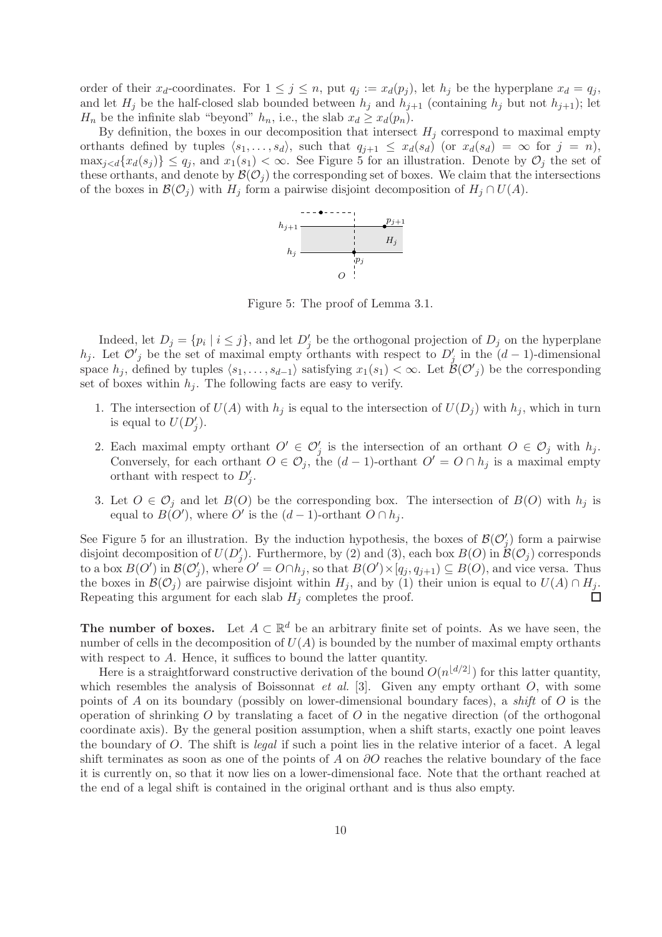order of their  $x_d$ -coordinates. For  $1 \leq j \leq n$ , put  $q_j := x_d(p_j)$ , let  $h_j$  be the hyperplane  $x_d = q_j$ , and let  $H_j$  be the half-closed slab bounded between  $h_j$  and  $h_{j+1}$  (containing  $h_j$  but not  $h_{j+1}$ ); let  $H_n$  be the infinite slab "beyond"  $h_n$ , i.e., the slab  $x_d \geq x_d(p_n)$ .

By definition, the boxes in our decomposition that intersect  $H_i$  correspond to maximal empty orthants defined by tuples  $\langle s_1, \ldots, s_d \rangle$ , such that  $q_{j+1} \leq x_d(s_d)$  (or  $x_d(s_d) = \infty$  for  $j = n$ ),  $\max_{i \leq d} \{x_d(s_i)\} \leq q_i$ , and  $x_1(s_1) < \infty$ . See Figure 5 for an illustration. Denote by  $\mathcal{O}_i$  the set of these orthants, and denote by  $\mathcal{B}(\mathcal{O}_j)$  the corresponding set of boxes. We claim that the intersections of the boxes in  $\mathcal{B}(\mathcal{O}_i)$  with  $H_i$  form a pairwise disjoint decomposition of  $H_i \cap U(A)$ .



Figure 5: The proof of Lemma 3.1.

Indeed, let  $D_j = \{p_i \mid i \leq j\}$ , and let  $D'_j$  be the orthogonal projection of  $D_j$  on the hyperplane h<sub>j</sub>. Let  $\mathcal{O}'_j$  be the set of maximal empty orthants with respect to  $D'_j$  in the  $(d-1)$ -dimensional space  $h_j$ , defined by tuples  $\langle s_1, \ldots, s_{d-1} \rangle$  satisfying  $x_1(s_1) < \infty$ . Let  $\mathcal{B}(\mathcal{O}'_j)$  be the corresponding set of boxes within  $h_i$ . The following facts are easy to verify.

- 1. The intersection of  $U(A)$  with  $h_j$  is equal to the intersection of  $U(D_j)$  with  $h_j$ , which in turn is equal to  $U(D'_j)$ .
- 2. Each maximal empty orthant  $O' \in \mathcal{O}'_j$  is the intersection of an orthant  $O \in \mathcal{O}_j$  with  $h_j$ . Conversely, for each orthant  $O \in \mathcal{O}_i$ , the  $(d-1)$ -orthant  $O' = O \cap h_i$  is a maximal empty orthant with respect to  $D'_j$ .
- 3. Let  $O \in \mathcal{O}_j$  and let  $B(O)$  be the corresponding box. The intersection of  $B(O)$  with  $h_j$  is equal to  $B(O')$ , where O' is the  $(d-1)$ -orthant  $O \cap h_j$ .

See Figure 5 for an illustration. By the induction hypothesis, the boxes of  $\mathcal{B}(\mathcal{O}'_j)$  form a pairwise disjoint decomposition of  $U(D'_j)$ . Furthermore, by (2) and (3), each box  $B(O)$  in  $\mathcal{B}(O_j)$  corresponds to a box  $B(O')$  in  $\mathcal{B}(\mathcal{O}'_j)$ , where  $O' = O \cap h_j$ , so that  $B(O') \times [q_j, q_{j+1}) \subseteq B(O)$ , and vice versa. Thus the boxes in  $\mathcal{B}(\mathcal{O}_i)$  are pairwise disjoint within  $H_i$ , and by (1) their union is equal to  $U(A) \cap H_i$ . Repeating this argument for each slab  $H_j$  completes the proof. П

The number of boxes. Let  $A \subset \mathbb{R}^d$  be an arbitrary finite set of points. As we have seen, the number of cells in the decomposition of  $U(A)$  is bounded by the number of maximal empty orthants with respect to A. Hence, it suffices to bound the latter quantity.

Here is a straightforward constructive derivation of the bound  $O(n^{\lfloor d/2 \rfloor})$  for this latter quantity, which resembles the analysis of Boissonnat *et al.* [3]. Given any empty orthant  $O$ , with some points of A on its boundary (possibly on lower-dimensional boundary faces), a shift of  $O$  is the operation of shrinking  $O$  by translating a facet of  $O$  in the negative direction (of the orthogonal coordinate axis). By the general position assumption, when a shift starts, exactly one point leaves the boundary of O. The shift is legal if such a point lies in the relative interior of a facet. A legal shift terminates as soon as one of the points of A on  $\partial O$  reaches the relative boundary of the face it is currently on, so that it now lies on a lower-dimensional face. Note that the orthant reached at the end of a legal shift is contained in the original orthant and is thus also empty.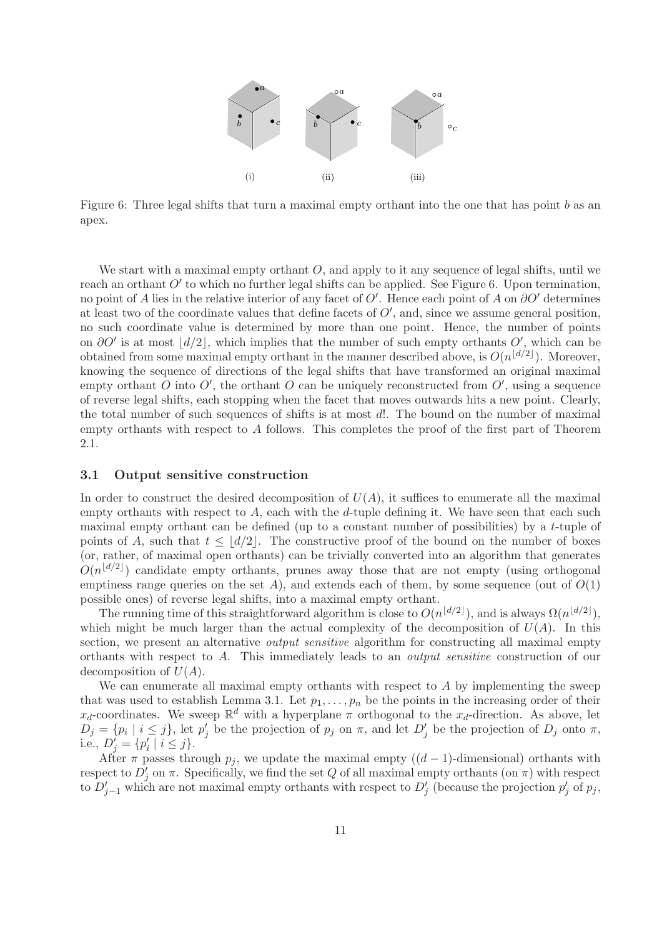

Figure 6: Three legal shifts that turn a maximal empty orthant into the one that has point b as an apex.

We start with a maximal empty orthant  $O$ , and apply to it any sequence of legal shifts, until we reach an orthant  $O'$  to which no further legal shifts can be applied. See Figure 6. Upon termination, no point of A lies in the relative interior of any facet of  $O'$ . Hence each point of A on  $\partial O'$  determines at least two of the coordinate values that define facets of  $O'$ , and, since we assume general position, no such coordinate value is determined by more than one point. Hence, the number of points on  $\partial O'$  is at most  $|d/2|$ , which implies that the number of such empty orthants  $O'$ , which can be obtained from some maximal empty orthant in the manner described above, is  $O(n^{\lfloor d/2 \rfloor})$ . Moreover, knowing the sequence of directions of the legal shifts that have transformed an original maximal empty orthant O into  $O'$ , the orthant O can be uniquely reconstructed from  $O'$ , using a sequence of reverse legal shifts, each stopping when the facet that moves outwards hits a new point. Clearly, the total number of such sequences of shifts is at most d!. The bound on the number of maximal empty orthants with respect to  $A$  follows. This completes the proof of the first part of Theorem 2.1.

### 3.1 Output sensitive construction

In order to construct the desired decomposition of  $U(A)$ , it suffices to enumerate all the maximal empty orthants with respect to  $A$ , each with the  $d$ -tuple defining it. We have seen that each such maximal empty orthant can be defined (up to a constant number of possibilities) by a t-tuple of points of A, such that  $t \leq |d/2|$ . The constructive proof of the bound on the number of boxes (or, rather, of maximal open orthants) can be trivially converted into an algorithm that generates  $O(n^{\lfloor d/2 \rfloor})$  candidate empty orthants, prunes away those that are not empty (using orthogonal emptiness range queries on the set  $A$ ), and extends each of them, by some sequence (out of  $O(1)$ ) possible ones) of reverse legal shifts, into a maximal empty orthant.

The running time of this straightforward algorithm is close to  $O(n^{\lfloor d/2 \rfloor})$ , and is always  $\Omega(n^{\lfloor d/2 \rfloor})$ , which might be much larger than the actual complexity of the decomposition of  $U(A)$ . In this section, we present an alternative *output sensitive* algorithm for constructing all maximal empty orthants with respect to A. This immediately leads to an output sensitive construction of our decomposition of  $U(A)$ .

We can enumerate all maximal empty orthants with respect to  $A$  by implementing the sweep that was used to establish Lemma 3.1. Let  $p_1, \ldots, p_n$  be the points in the increasing order of their  $x_d$ -coordinates. We sweep  $\mathbb{R}^d$  with a hyperplane  $\pi$  orthogonal to the  $x_d$ -direction. As above, let  $D_j = \{p_i \mid i \leq j\}$ , let  $p'_j$  be the projection of  $p_j$  on  $\pi$ , and let  $D'_j$  be the projection of  $D_j$  onto  $\pi$ , i.e.,  $D'_j = \{p'_i \mid i \leq j\}.$ 

After  $\pi$  passes through  $p_j$ , we update the maximal empty  $((d-1)$ -dimensional) orthants with respect to  $D'_j$  on  $\pi$ . Specifically, we find the set Q of all maximal empty orthants (on  $\pi$ ) with respect to  $D'_{j-1}$  which are not maximal empty orthants with respect to  $D'_{j}$  (because the projection  $p'_{j}$  of  $p_{j}$ ,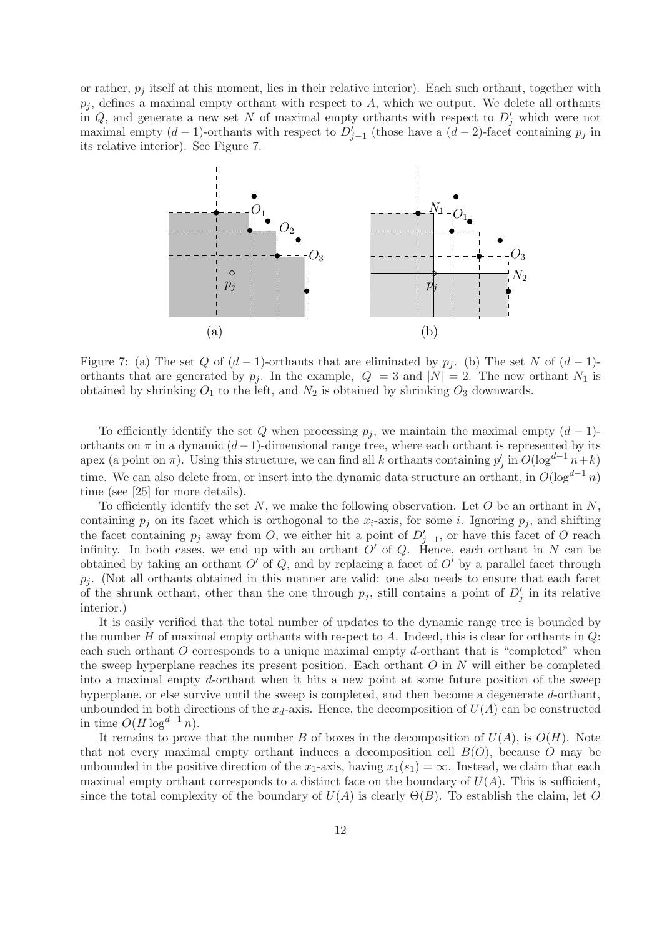or rather,  $p_i$  itself at this moment, lies in their relative interior). Each such orthant, together with  $p_i$ , defines a maximal empty orthant with respect to A, which we output. We delete all orthants in Q, and generate a new set N of maximal empty orthants with respect to  $D'_j$  which were not maximal empty  $(d-1)$ -orthants with respect to  $D'_{j-1}$  (those have a  $(d-2)$ -facet containing  $p_j$  in its relative interior). See Figure 7.



Figure 7: (a) The set Q of  $(d-1)$ -orthants that are eliminated by  $p_j$ . (b) The set N of  $(d-1)$ orthants that are generated by  $p_i$ . In the example,  $|Q| = 3$  and  $|N| = 2$ . The new orthant  $N_1$  is obtained by shrinking  $O_1$  to the left, and  $N_2$  is obtained by shrinking  $O_3$  downwards.

To efficiently identify the set Q when processing  $p_j$ , we maintain the maximal empty  $(d-1)$ orthants on  $\pi$  in a dynamic  $(d-1)$ -dimensional range tree, where each orthant is represented by its apex (a point on  $\pi$ ). Using this structure, we can find all k orthants containing  $p'_j$  in  $O(\log^{d-1} n+k)$ time. We can also delete from, or insert into the dynamic data structure an orthant, in  $O(\log^{d-1} n)$ time (see [25] for more details).

To efficiently identify the set  $N$ , we make the following observation. Let  $O$  be an orthant in  $N$ , containing  $p_j$  on its facet which is orthogonal to the  $x_i$ -axis, for some i. Ignoring  $p_j$ , and shifting the facet containing  $p_j$  away from O, we either hit a point of  $D'_{j-1}$ , or have this facet of O reach infinity. In both cases, we end up with an orthant  $O'$  of  $Q$ . Hence, each orthant in N can be obtained by taking an orthant  $O'$  of  $Q$ , and by replacing a facet of  $O'$  by a parallel facet through  $p_i$ . (Not all orthants obtained in this manner are valid: one also needs to ensure that each facet of the shrunk orthant, other than the one through  $p_j$ , still contains a point of  $D'_j$  in its relative interior.)

It is easily verified that the total number of updates to the dynamic range tree is bounded by the number H of maximal empty orthants with respect to A. Indeed, this is clear for orthants in  $Q$ : each such orthant  $O$  corresponds to a unique maximal empty d-orthant that is "completed" when the sweep hyperplane reaches its present position. Each orthant  $O$  in  $N$  will either be completed into a maximal empty d-orthant when it hits a new point at some future position of the sweep hyperplane, or else survive until the sweep is completed, and then become a degenerate d-orthant, unbounded in both directions of the  $x_d$ -axis. Hence, the decomposition of  $U(A)$  can be constructed in time  $O(H \log^{d-1} n)$ .

It remains to prove that the number B of boxes in the decomposition of  $U(A)$ , is  $O(H)$ . Note that not every maximal empty orthant induces a decomposition cell  $B(O)$ , because O may be unbounded in the positive direction of the x<sub>1</sub>-axis, having  $x_1(s_1) = \infty$ . Instead, we claim that each maximal empty orthant corresponds to a distinct face on the boundary of  $U(A)$ . This is sufficient, since the total complexity of the boundary of  $U(A)$  is clearly  $\Theta(B)$ . To establish the claim, let O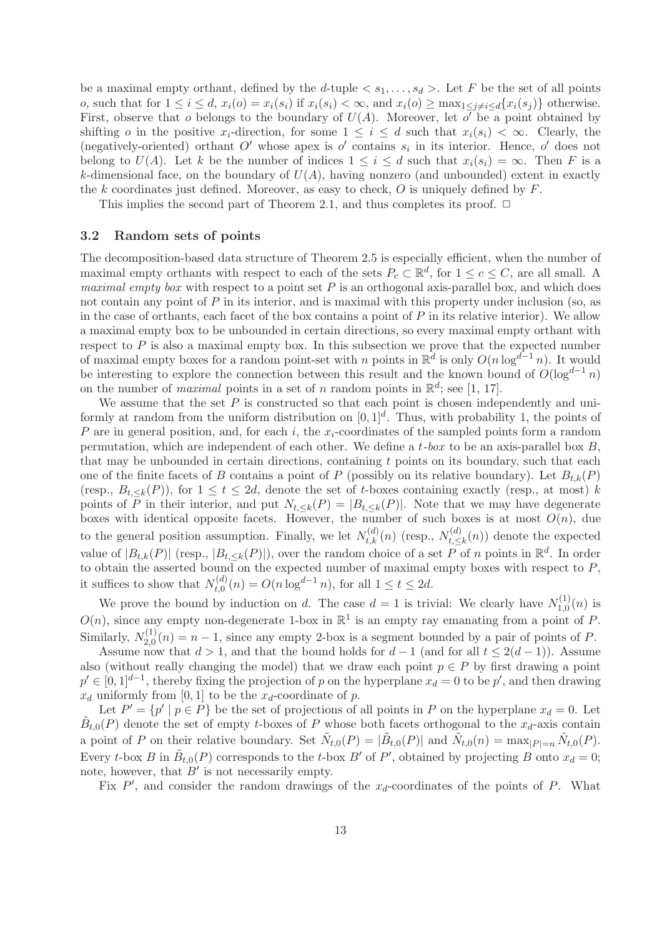be a maximal empty orthant, defined by the d-tuple  $\langle s_1, \ldots, s_d \rangle$ . Let F be the set of all points o, such that for  $1 \leq i \leq d$ ,  $x_i(o) = x_i(s_i)$  if  $x_i(s_i) < \infty$ , and  $x_i(o) \geq \max_{1 \leq i \neq i \leq d} \{x_i(s_i)\}\$  otherwise. First, observe that o belongs to the boundary of  $U(A)$ . Moreover, let o' be a point obtained by shifting o in the positive  $x_i$ -direction, for some  $1 \leq i \leq d$  such that  $x_i(s_i) \leq \infty$ . Clearly, the (negatively-oriented) orthant  $O'$  whose apex is  $o'$  contains  $s_i$  in its interior. Hence,  $o'$  does not belong to  $U(A)$ . Let k be the number of indices  $1 \leq i \leq d$  such that  $x_i(s_i) = \infty$ . Then F is a k-dimensional face, on the boundary of  $U(A)$ , having nonzero (and unbounded) extent in exactly the k coordinates just defined. Moreover, as easy to check,  $O$  is uniquely defined by  $F$ .

This implies the second part of Theorem 2.1, and thus completes its proof.  $\Box$ 

#### 3.2 Random sets of points

The decomposition-based data structure of Theorem 2.5 is especially efficient, when the number of maximal empty orthants with respect to each of the sets  $P_c \subset \mathbb{R}^d$ , for  $1 \leq c \leq C$ , are all small. A maximal empty box with respect to a point set  $P$  is an orthogonal axis-parallel box, and which does not contain any point of P in its interior, and is maximal with this property under inclusion (so, as in the case of orthants, each facet of the box contains a point of  $P$  in its relative interior). We allow a maximal empty box to be unbounded in certain directions, so every maximal empty orthant with respect to  $P$  is also a maximal empty box. In this subsection we prove that the expected number of maximal empty boxes for a random point-set with n points in  $\mathbb{R}^d$  is only  $O(n \log^{d-1} n)$ . It would be interesting to explore the connection between this result and the known bound of  $O(\log^{d-1} n)$ on the number of *maximal* points in a set of *n* random points in  $\mathbb{R}^d$ ; see [1, 17].

We assume that the set  $P$  is constructed so that each point is chosen independently and uniformly at random from the uniform distribution on  $[0,1]^d$ . Thus, with probability 1, the points of P are in general position, and, for each i, the  $x_i$ -coordinates of the sampled points form a random permutation, which are independent of each other. We define a  $t$ -box to be an axis-parallel box  $B$ , that may be unbounded in certain directions, containing  $t$  points on its boundary, such that each one of the finite facets of B contains a point of P (possibly on its relative boundary). Let  $B_{t,k}(P)$ (resp.,  $B_{t\le k}(P)$ ), for  $1 \le t \le 2d$ , denote the set of t-boxes containing exactly (resp., at most) k points of  $\overline{P}$  in their interior, and put  $N_{t,\leq k}(P) = |B_{t,\leq k}(P)|$ . Note that we may have degenerate boxes with identical opposite facets. However, the number of such boxes is at most  $O(n)$ , due to the general position assumption. Finally, we let  $N_{t,k}^{(d)}(n)$  (resp.,  $N_{t,\leq}^{(d)}$  $t_{t,\leq k}(n)$  denote the expected value of  $|B_{t,k}(P)|$  (resp.,  $|B_{t,\leq k}(P)|$ ), over the random choice of a set P of n points in  $\mathbb{R}^d$ . In order to obtain the asserted bound on the expected number of maximal empty boxes with respect to  $P$ , it suffices to show that  $N_{t,0}^{(d)}$  $t_{t,0}^{(d)}(n) = O(n \log^{d-1} n)$ , for all  $1 \le t \le 2d$ .

We prove the bound by induction on d. The case  $d=1$  is trivial: We clearly have  $N_{1,0}^{(1)}$  $\mathcal{L}_{1,0}^{(1)}(n)$  is  $O(n)$ , since any empty non-degenerate 1-box in  $\mathbb{R}^1$  is an empty ray emanating from a point of P. Similarly,  $N_{2,0}^{(1)}$  $2_{2,0}^{(1)}(n) = n - 1$ , since any empty 2-box is a segment bounded by a pair of points of P.

Assume now that  $d > 1$ , and that the bound holds for  $d-1$  (and for all  $t \leq 2(d-1)$ ). Assume also (without really changing the model) that we draw each point  $p \in P$  by first drawing a point  $p' \in [0,1]^{d-1}$ , thereby fixing the projection of p on the hyperplane  $x_d = 0$  to be p', and then drawing  $x_d$  uniformly from [0, 1] to be the  $x_d$ -coordinate of p.

Let  $P' = \{p' \mid p \in P\}$  be the set of projections of all points in P on the hyperplane  $x_d = 0$ . Let  $\tilde{B}_{t,0}(P)$  denote the set of empty t-boxes of P whose both facets orthogonal to the  $x_d$ -axis contain a point of P on their relative boundary. Set  $\tilde{N}_{t,0}(P) = |\tilde{B}_{t,0}(P)|$  and  $\tilde{N}_{t,0}(n) = \max_{|P|=n} \tilde{N}_{t,0}(P)$ . Every t-box B in  $\tilde{B}_{t,0}(P)$  corresponds to the t-box B' of P', obtained by projecting B onto  $x_d = 0$ ; note, however, that  $B'$  is not necessarily empty.

Fix  $P'$ , and consider the random drawings of the  $x_d$ -coordinates of the points of P. What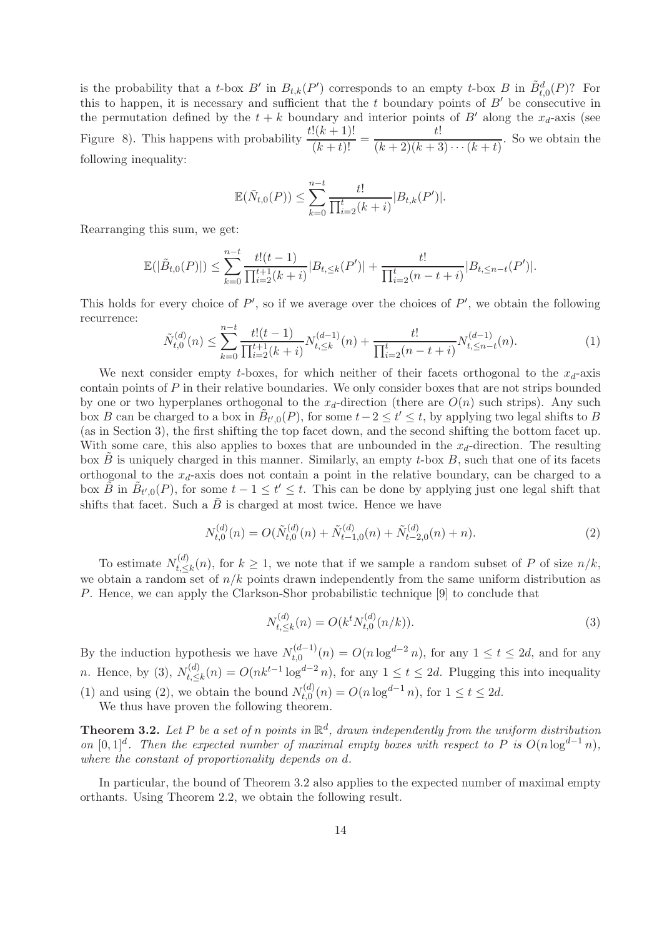is the probability that a t-box B' in  $B_{t,k}(P')$  corresponds to an empty t-box B in  $\tilde{B}_{t,0}^d(P)$ ? For this to happen, it is necessary and sufficient that the  $t$  boundary points of  $B'$  be consecutive in the permutation defined by the  $t + k$  boundary and interior points of B' along the  $x_d$ -axis (see Figure 8). This happens with probability  $\frac{t!(k+1)!}{(k+t)!} = \frac{t!}{(k+2)(k+3)!}$  $\frac{1}{(k+2)(k+3)\cdots(k+t)}$ . So we obtain the following inequality:

$$
\mathbb{E}(\tilde{N}_{t,0}(P)) \leq \sum_{k=0}^{n-t} \frac{t!}{\prod_{i=2}^{t} (k+i)} |B_{t,k}(P')|.
$$

Rearranging this sum, we get:

$$
\mathbb{E}(|\tilde{B}_{t,0}(P)|) \leq \sum_{k=0}^{n-t} \frac{t!(t-1)}{\prod_{i=2}^{t+1}(k+i)} |B_{t,\leq k}(P')| + \frac{t!}{\prod_{i=2}^{t}(n-t+i)} |B_{t,\leq n-t}(P')|.
$$

This holds for every choice of  $P'$ , so if we average over the choices of  $P'$ , we obtain the following recurrence:

$$
\tilde{N}_{t,0}^{(d)}(n) \le \sum_{k=0}^{n-t} \frac{t!(t-1)}{\prod_{i=2}^{t+1}(k+i)} N_{t,\le k}^{(d-1)}(n) + \frac{t!}{\prod_{i=2}^{t}(n-t+i)} N_{t,\le n-t}^{(d-1)}(n). \tag{1}
$$

We next consider empty t-boxes, for which neither of their facets orthogonal to the  $x_d$ -axis contain points of  $P$  in their relative boundaries. We only consider boxes that are not strips bounded by one or two hyperplanes orthogonal to the  $x_d$ -direction (there are  $O(n)$ ) such strips). Any such box B can be charged to a box in  $\tilde{B}_{t',0}(P)$ , for some  $t-2 \leq t' \leq t$ , by applying two legal shifts to B (as in Section 3), the first shifting the top facet down, and the second shifting the bottom facet up. With some care, this also applies to boxes that are unbounded in the  $x_d$ -direction. The resulting box  $\ddot{B}$  is uniquely charged in this manner. Similarly, an empty t-box  $B$ , such that one of its facets orthogonal to the  $x_d$ -axis does not contain a point in the relative boundary, can be charged to a box  $\tilde{B}$  in  $\tilde{B}_{t',0}(P)$ , for some  $t-1 \leq t' \leq t$ . This can be done by applying just one legal shift that shifts that facet. Such a  $\tilde{B}$  is charged at most twice. Hence we have

$$
N_{t,0}^{(d)}(n) = O(\tilde{N}_{t,0}^{(d)}(n) + \tilde{N}_{t-1,0}^{(d)}(n) + \tilde{N}_{t-2,0}^{(d)}(n) + n).
$$
\n(2)

To estimate  $N_t^{(d)}$  $t_{k} \leq k(n)$ , for  $k \geq 1$ , we note that if we sample a random subset of P of size  $n/k$ , we obtain a random set of  $n/k$  points drawn independently from the same uniform distribution as P. Hence, we can apply the Clarkson-Shor probabilistic technique [9] to conclude that

$$
N_{t,\leq k}^{(d)}(n) = O(k^t N_{t,0}^{(d)}(n/k)).
$$
\n(3)

By the induction hypothesis we have  $N_{t,0}^{(d-1)}$  $t_{t,0}^{(d-1)}(n) = O(n \log^{d-2} n)$ , for any  $1 \le t \le 2d$ , and for any *n*. Hence, by (3),  $N_t^{(d)}$  $t_{t,\leq k}^{(d)}(n) = O(nk^{t-1}\log^{d-2} n)$ , for any  $1 \leq t \leq 2d$ . Plugging this into inequality (1) and using (2), we obtain the bound  $N_{t,0}^{(d)}$  $t_{t,0}^{(d)}(n) = O(n \log^{d-1} n)$ , for  $1 \le t \le 2d$ .

We thus have proven the following theorem.

**Theorem 3.2.** Let P be a set of n points in  $\mathbb{R}^d$ , drawn independently from the uniform distribution on  $[0,1]^d$ . Then the expected number of maximal empty boxes with respect to P is  $O(n \log^{d-1} n)$ , where the constant of proportionality depends on d.

In particular, the bound of Theorem 3.2 also applies to the expected number of maximal empty orthants. Using Theorem 2.2, we obtain the following result.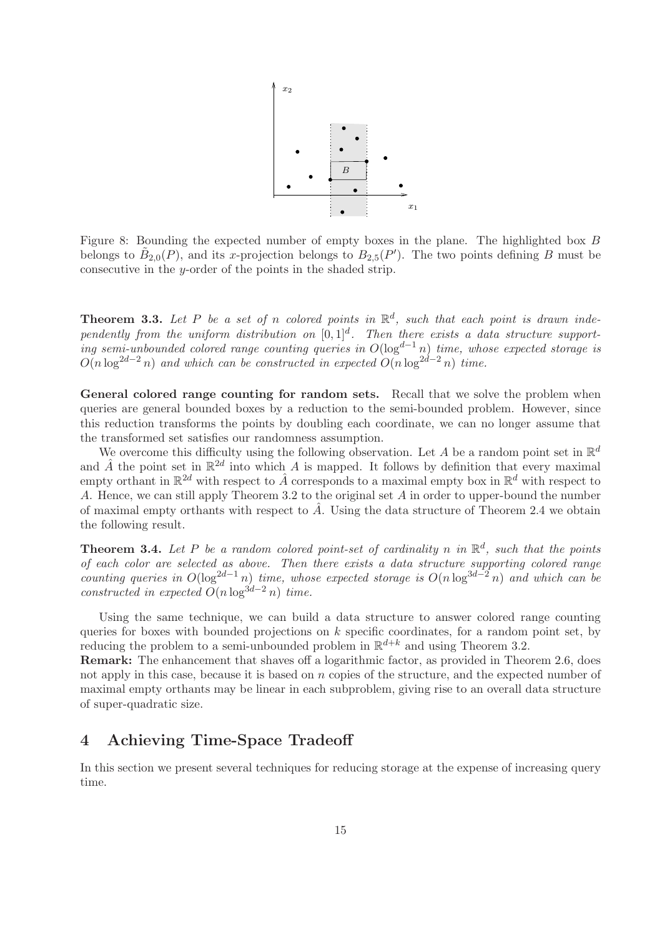

Figure 8: Bounding the expected number of empty boxes in the plane. The highlighted box B belongs to  $\tilde{B}_{2,0}(P)$ , and its x-projection belongs to  $B_{2,5}(P')$ . The two points defining B must be consecutive in the y-order of the points in the shaded strip.

**Theorem 3.3.** Let P be a set of n colored points in  $\mathbb{R}^d$ , such that each point is drawn independently from the uniform distribution on  $[0,1]^d$ . Then there exists a data structure supporting semi-unbounded colored range counting queries in  $O(\log^{d-1} n)$  time, whose expected storage is  $O(n \log^{2d-2} n)$  and which can be constructed in expected  $O(n \log^{2d-2} n)$  time.

General colored range counting for random sets. Recall that we solve the problem when queries are general bounded boxes by a reduction to the semi-bounded problem. However, since this reduction transforms the points by doubling each coordinate, we can no longer assume that the transformed set satisfies our randomness assumption.

We overcome this difficulty using the following observation. Let A be a random point set in  $\mathbb{R}^d$ and  $\hat{A}$  the point set in  $\mathbb{R}^{2d}$  into which A is mapped. It follows by definition that every maximal empty orthant in  $\mathbb{R}^{2d}$  with respect to  $\hat{A}$  corresponds to a maximal empty box in  $\mathbb{R}^d$  with respect to A. Hence, we can still apply Theorem 3.2 to the original set A in order to upper-bound the number of maximal empty orthants with respect to  $\hat{A}$ . Using the data structure of Theorem 2.4 we obtain the following result.

**Theorem 3.4.** Let P be a random colored point-set of cardinality n in  $\mathbb{R}^d$ , such that the points of each color are selected as above. Then there exists a data structure supporting colored range counting queries in  $O(\log^{2d-1} n)$  time, whose expected storage is  $O(n \log^{3d-2} n)$  and which can be constructed in expected  $O(n \log^{3d-2} n)$  time.

Using the same technique, we can build a data structure to answer colored range counting queries for boxes with bounded projections on  $k$  specific coordinates, for a random point set, by reducing the problem to a semi-unbounded problem in  $\mathbb{R}^{d+k}$  and using Theorem 3.2.

Remark: The enhancement that shaves off a logarithmic factor, as provided in Theorem 2.6, does not apply in this case, because it is based on  $n$  copies of the structure, and the expected number of maximal empty orthants may be linear in each subproblem, giving rise to an overall data structure of super-quadratic size.

# 4 Achieving Time-Space Tradeoff

In this section we present several techniques for reducing storage at the expense of increasing query time.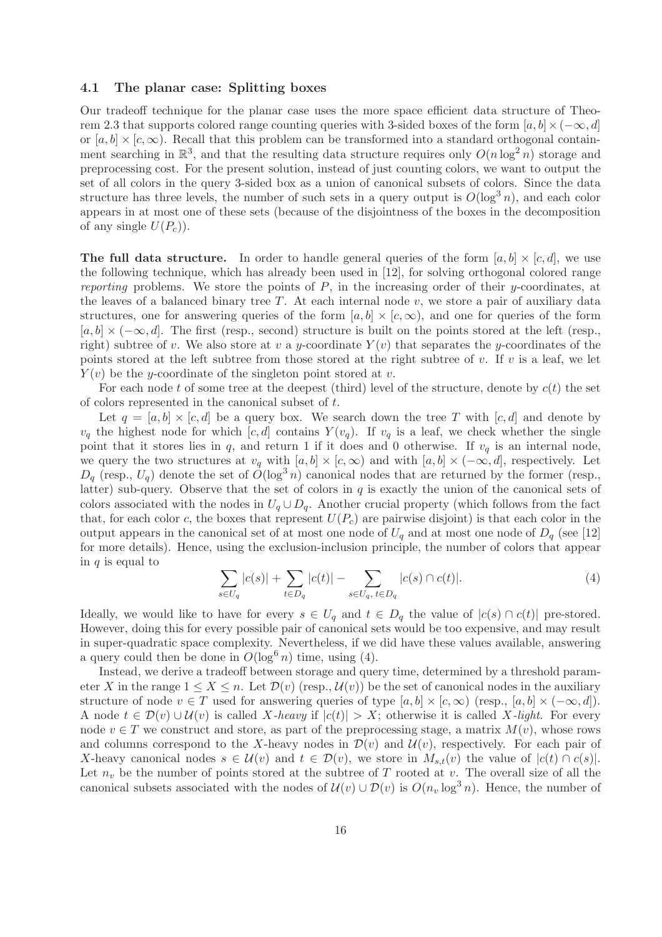#### 4.1 The planar case: Splitting boxes

Our tradeoff technique for the planar case uses the more space efficient data structure of Theorem 2.3 that supports colored range counting queries with 3-sided boxes of the form  $[a, b] \times (-\infty, d]$ or  $[a, b] \times [c, \infty)$ . Recall that this problem can be transformed into a standard orthogonal containment searching in  $\mathbb{R}^3$ , and that the resulting data structure requires only  $O(n \log^2 n)$  storage and preprocessing cost. For the present solution, instead of just counting colors, we want to output the set of all colors in the query 3-sided box as a union of canonical subsets of colors. Since the data structure has three levels, the number of such sets in a query output is  $O(\log^3 n)$ , and each color appears in at most one of these sets (because of the disjointness of the boxes in the decomposition of any single  $U(P_c)$ .

**The full data structure.** In order to handle general queries of the form  $[a, b] \times [c, d]$ , we use the following technique, which has already been used in [12], for solving orthogonal colored range reporting problems. We store the points of  $P$ , in the increasing order of their y-coordinates, at the leaves of a balanced binary tree  $T$ . At each internal node  $v$ , we store a pair of auxiliary data structures, one for answering queries of the form  $[a, b] \times [c, \infty)$ , and one for queries of the form  $[a, b] \times (-\infty, d]$ . The first (resp., second) structure is built on the points stored at the left (resp., right) subtree of v. We also store at v a y-coordinate  $Y(v)$  that separates the y-coordinates of the points stored at the left subtree from those stored at the right subtree of v. If v is a leaf, we let  $Y(v)$  be the y-coordinate of the singleton point stored at v.

For each node t of some tree at the deepest (third) level of the structure, denote by  $c(t)$  the set of colors represented in the canonical subset of t.

Let  $q = [a, b] \times [c, d]$  be a query box. We search down the tree T with  $[c, d]$  and denote by  $v_q$  the highest node for which  $[c, d]$  contains  $Y(v_q)$ . If  $v_q$  is a leaf, we check whether the single point that it stores lies in q, and return 1 if it does and 0 otherwise. If  $v_q$  is an internal node, we query the two structures at  $v_q$  with  $[a, b] \times [c, \infty)$  and with  $[a, b] \times (-\infty, d]$ , respectively. Let  $D_q$  (resp.,  $U_q$ ) denote the set of  $O(\log^3 n)$  canonical nodes that are returned by the former (resp., latter) sub-query. Observe that the set of colors in  $q$  is exactly the union of the canonical sets of colors associated with the nodes in  $U_q \cup D_q$ . Another crucial property (which follows from the fact that, for each color c, the boxes that represent  $U(P_c)$  are pairwise disjoint) is that each color in the output appears in the canonical set of at most one node of  $U_q$  and at most one node of  $D_q$  (see [12] for more details). Hence, using the exclusion-inclusion principle, the number of colors that appear in  $q$  is equal to

$$
\sum_{s \in U_q} |c(s)| + \sum_{t \in D_q} |c(t)| - \sum_{s \in U_q, t \in D_q} |c(s) \cap c(t)|.
$$
 (4)

Ideally, we would like to have for every  $s \in U_q$  and  $t \in D_q$  the value of  $|c(s) \cap c(t)|$  pre-stored. However, doing this for every possible pair of canonical sets would be too expensive, and may result in super-quadratic space complexity. Nevertheless, if we did have these values available, answering a query could then be done in  $O(\log^6 n)$  time, using (4).

Instead, we derive a tradeoff between storage and query time, determined by a threshold parameter X in the range  $1 \leq X \leq n$ . Let  $\mathcal{D}(v)$  (resp.,  $\mathcal{U}(v)$ ) be the set of canonical nodes in the auxiliary structure of node  $v \in T$  used for answering queries of type  $[a, b] \times [c, \infty)$  (resp.,  $[a, b] \times (-\infty, d]$ ). A node  $t \in \mathcal{D}(v) \cup \mathcal{U}(v)$  is called X-heavy if  $|c(t)| > X$ ; otherwise it is called X-light. For every node  $v \in T$  we construct and store, as part of the preprocessing stage, a matrix  $M(v)$ , whose rows and columns correspond to the X-heavy nodes in  $\mathcal{D}(v)$  and  $\mathcal{U}(v)$ , respectively. For each pair of X-heavy canonical nodes  $s \in \mathcal{U}(v)$  and  $t \in \mathcal{D}(v)$ , we store in  $M_{s,t}(v)$  the value of  $|c(t) \cap c(s)|$ . Let  $n_v$  be the number of points stored at the subtree of T rooted at v. The overall size of all the canonical subsets associated with the nodes of  $\mathcal{U}(v) \cup \mathcal{D}(v)$  is  $O(n_v \log^3 n)$ . Hence, the number of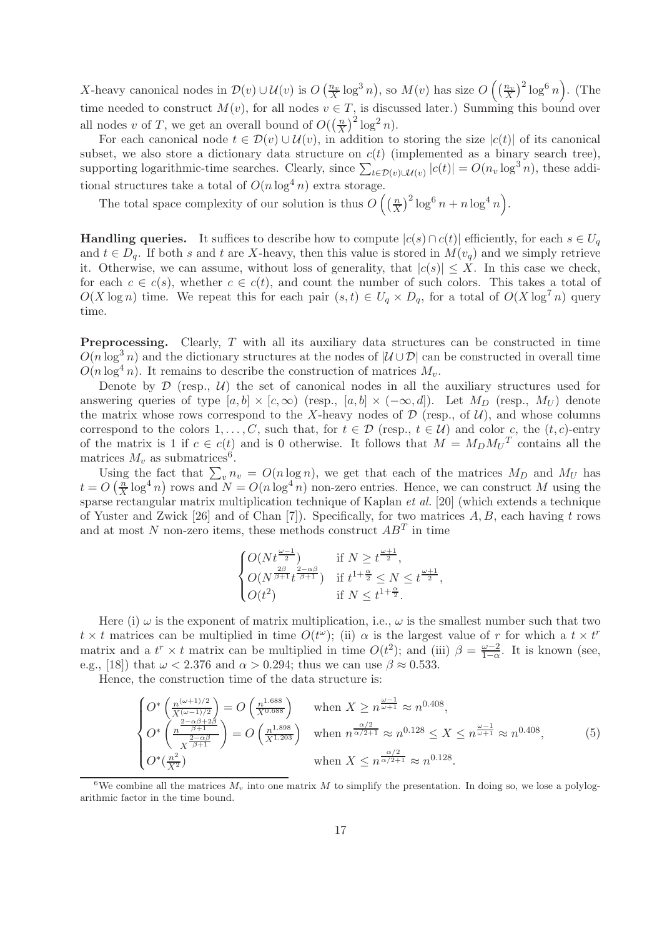X-heavy canonical nodes in  $\mathcal{D}(v) \cup \mathcal{U}(v)$  is  $O\left(\frac{n_v}{X} \log^3 n\right)$ , so  $M(v)$  has size  $O\left(\left(\frac{n_v}{X}\right)^2 \log^6 n\right)$ . (The time needed to construct  $M(v)$ , for all nodes  $v \in T$ , is discussed later.) Summing this bound over all nodes v of T, we get an overall bound of  $O(\left(\frac{n}{X}\right))$  $\frac{n}{X}$ )<sup>2</sup> log<sup>2</sup> n).

For each canonical node  $t \in \mathcal{D}(v) \cup \mathcal{U}(v)$ , in addition to storing the size  $|c(t)|$  of its canonical subset, we also store a dictionary data structure on  $c(t)$  (implemented as a binary search tree), supporting logarithmic-time searches. Clearly, since  $\sum_{t \in \mathcal{D}(v) \cup \mathcal{U}(v)} |c(t)| = O(n_v \log^3 n)$ , these additional structures take a total of  $O(n \log^4 n)$  extra storage.

The total space complexity of our solution is thus  $O\left(\frac{n}{X}\right)$  $\left(\frac{n}{X}\right)^2 \log^6 n + n \log^4 n$ .

**Handling queries.** It suffices to describe how to compute  $|c(s) \cap c(t)|$  efficiently, for each  $s \in U_q$ and  $t \in D_q$ . If both s and t are X-heavy, then this value is stored in  $M(v_q)$  and we simply retrieve it. Otherwise, we can assume, without loss of generality, that  $|c(s)| \leq X$ . In this case we check, for each  $c \in c(s)$ , whether  $c \in c(t)$ , and count the number of such colors. This takes a total of  $O(X \log n)$  time. We repeat this for each pair  $(s, t) \in U_q \times D_q$ , for a total of  $O(X \log^7 n)$  query time.

Preprocessing. Clearly, T with all its auxiliary data structures can be constructed in time  $O(n \log^3 n)$  and the dictionary structures at the nodes of  $|U \cup \mathcal{D}|$  can be constructed in overall time  $O(n \log^4 n)$ . It remains to describe the construction of matrices  $M_n$ .

Denote by  $\mathcal D$  (resp.,  $\mathcal U$ ) the set of canonical nodes in all the auxiliary structures used for answering queries of type  $[a, b] \times [c, \infty)$  (resp.,  $[a, b] \times (-\infty, d]$ ). Let  $M_D$  (resp.,  $M_U$ ) denote the matrix whose rows correspond to the X-heavy nodes of  $\mathcal D$  (resp., of  $\mathcal U$ ), and whose columns correspond to the colors  $1, \ldots, C$ , such that, for  $t \in \mathcal{D}$  (resp.,  $t \in \mathcal{U}$ ) and color c, the  $(t, c)$ -entry of the matrix is 1 if  $c \in c(t)$  and is 0 otherwise. It follows that  $M = M_D M_U^T$  contains all the matrices  $M_v$  as submatrices<sup>6</sup>.

Using the fact that  $\sum_{v} n_v = O(n \log n)$ , we get that each of the matrices  $M_D$  and  $M_U$  has  $t = O\left(\frac{n}{X}\right)$  $\frac{n}{X} \log^4 n$ ) rows and  $N = O(n \log^4 n)$  non-zero entries. Hence, we can construct M using the sparse rectangular matrix multiplication technique of Kaplan et al. [20] (which extends a technique of Yuster and Zwick [26] and of Chan [7]). Specifically, for two matrices  $A, B$ , each having t rows and at most N non-zero items, these methods construct  $AB<sup>T</sup>$  in time

$$
\begin{cases} O(Nt^{\frac{\omega-1}{2}}) & \text{if } N \ge t^{\frac{\omega+1}{2}}, \\ O(N^{\frac{2\beta}{\beta+1}}t^{\frac{2-\alpha\beta}{\beta+1}}) & \text{if } t^{1+\frac{\alpha}{2}} \le N \le t^{\frac{\omega+1}{2}}, \\ O(t^2) & \text{if } N \le t^{1+\frac{\alpha}{2}}. \end{cases}
$$

Here (i)  $\omega$  is the exponent of matrix multiplication, i.e.,  $\omega$  is the smallest number such that two  $t \times t$  matrices can be multiplied in time  $O(t^{\omega})$ ; (ii)  $\alpha$  is the largest value of r for which a  $t \times t^r$ matrix and a  $t^r \times t$  matrix can be multiplied in time  $O(t^2)$ ; and (iii)  $\beta = \frac{\omega - 2}{1 - \alpha}$  $\frac{\omega - 2}{1 - \alpha}$ . It is known (see, e.g., [18]) that  $\omega < 2.376$  and  $\alpha > 0.294$ ; thus we can use  $\beta \approx 0.533$ .

Hence, the construction time of the data structure is:

$$
\begin{cases}\nO^*\left(\frac{n^{(\omega+1)/2}}{X^{(\omega-1)/2}}\right) = O\left(\frac{n^{1.688}}{X^{0.688}}\right) & \text{when } X \ge n^{\frac{\omega-1}{\omega+1}} \approx n^{0.408}, \\
O^*\left(\frac{n^{-2-\alpha\beta+2\beta}}{X^{\frac{2-\alpha\beta}{\beta+1}}}\right) = O\left(\frac{n^{1.898}}{X^{1.203}}\right) & \text{when } n^{\frac{\alpha/2}{\alpha/2+1}} \approx n^{0.128} \le X \le n^{\frac{\omega-1}{\omega+1}} \approx n^{0.408}, \\
O^*\left(\frac{n^2}{X^2}\right) & \text{when } X \le n^{\frac{\alpha/2}{\alpha/2+1}} \approx n^{0.128}.\n\end{cases} (5)
$$

<sup>6</sup>We combine all the matrices  $M_v$  into one matrix M to simplify the presentation. In doing so, we lose a polylogarithmic factor in the time bound.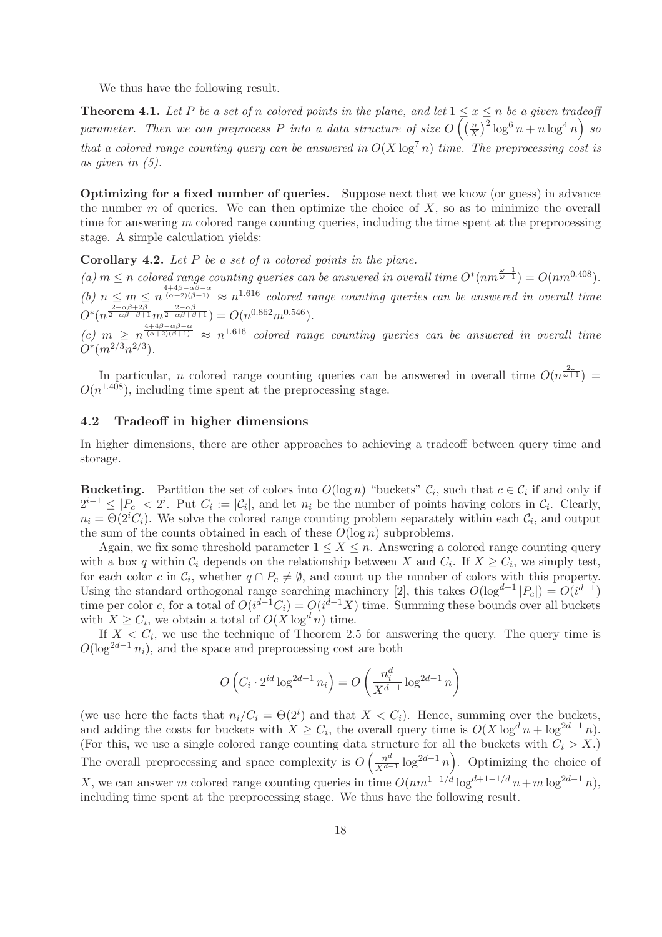We thus have the following result.

**Theorem 4.1.** Let P be a set of n colored points in the plane, and let  $1 \le x \le n$  be a given tradeoff parameter. Then we can preprocess P into a data structure of size  $O\left(\left(\frac{n}{X}\right)^{1/2}\right)$  $\left(\frac{n}{X}\right)^2 \log^6 n + n \log^4 n$  so that a colored range counting query can be answered in  $O(X \log^7 n)$  time. The preprocessing cost is as given in (5).

Optimizing for a fixed number of queries. Suppose next that we know (or guess) in advance the number m of queries. We can then optimize the choice of  $X$ , so as to minimize the overall time for answering  $m$  colored range counting queries, including the time spent at the preprocessing stage. A simple calculation yields:

**Corollary 4.2.** Let  $P$  be a set of  $n$  colored points in the plane.

(a)  $m \leq n$  colored range counting queries can be answered in overall time  $O^*(nm^{\frac{\omega-1}{\omega+1}}) = O(nm^{0.408})$ . (b)  $n \leq m \leq n^{\frac{4+4\beta-\alpha\beta-\alpha}{(\alpha+2)(\beta+1)}} \approx n^{1.616}$  colored range counting queries can be answered in overall time  $O^*(n^{\frac{2-\alpha\beta+2\beta}{2-\alpha\beta+\beta+1}}m^{\frac{2-\alpha\beta}{2-\alpha\beta+\beta+1}}) = O(n^{0.862}m^{0.546}).$ 

 $(c)$   $m \geq n^{\frac{4+4\beta-\alpha\beta-\alpha}{(\alpha+2)(\beta+1)}} \approx n^{1.616}$  colored range counting queries can be answered in overall time  $O^*(m^{2/3}n^{2/3})$ .

In particular, *n* colored range counting queries can be answered in overall time  $O(n^{\frac{2\omega}{\omega+1}})$  =  $O(n^{1.408})$ , including time spent at the preprocessing stage.

### 4.2 Tradeoff in higher dimensions

In higher dimensions, there are other approaches to achieving a tradeoff between query time and storage.

**Bucketing.** Partition the set of colors into  $O(\log n)$  "buckets"  $C_i$ , such that  $c \in C_i$  if and only if  $2^{i-1} \leq |P_c| < 2^i$ . Put  $C_i := |\mathcal{C}_i|$ , and let  $n_i$  be the number of points having colors in  $\mathcal{C}_i$ . Clearly,  $n_i = \Theta(2^i C_i)$ . We solve the colored range counting problem separately within each  $C_i$ , and output the sum of the counts obtained in each of these  $O(\log n)$  subproblems.

Again, we fix some threshold parameter  $1 \leq X \leq n$ . Answering a colored range counting query with a box q within  $C_i$  depends on the relationship between X and  $C_i$ . If  $X \geq C_i$ , we simply test, for each color c in  $\mathcal{C}_i$ , whether  $q \cap P_c \neq \emptyset$ , and count up the number of colors with this property. Using the standard orthogonal range searching machinery [2], this takes  $O(\log^{d-1} |P_c|) = O(i^{d-1})$ time per color c, for a total of  $O(i^{d-1}C_i) = O(i^{d-1}X)$  time. Summing these bounds over all buckets with  $X \geq C_i$ , we obtain a total of  $O(X \log^d n)$  time.

If  $X < C_i$ , we use the technique of Theorem 2.5 for answering the query. The query time is  $O(\log^{2d-1} n_i)$ , and the space and preprocessing cost are both

$$
O\left(C_i \cdot 2^{id} \log^{2d-1} n_i\right) = O\left(\frac{n_i^d}{X^{d-1}} \log^{2d-1} n\right)
$$

(we use here the facts that  $n_i/C_i = \Theta(2^i)$  and that  $X < C_i$ ). Hence, summing over the buckets, and adding the costs for buckets with  $X \geq C_i$ , the overall query time is  $O(X \log^d n + \log^{2d-1} n)$ . (For this, we use a single colored range counting data structure for all the buckets with  $C_i > X$ .) The overall preprocessing and space complexity is  $O\left(\frac{n^d}{X^d}\right)$  $\frac{n^d}{X^{d-1}} \log^{2d-1} n$ . Optimizing the choice of X, we can answer m colored range counting queries in time  $O(nm^{1-1/d} \log^{d+1-1/d} n+m \log^{2d-1} n)$ , including time spent at the preprocessing stage. We thus have the following result.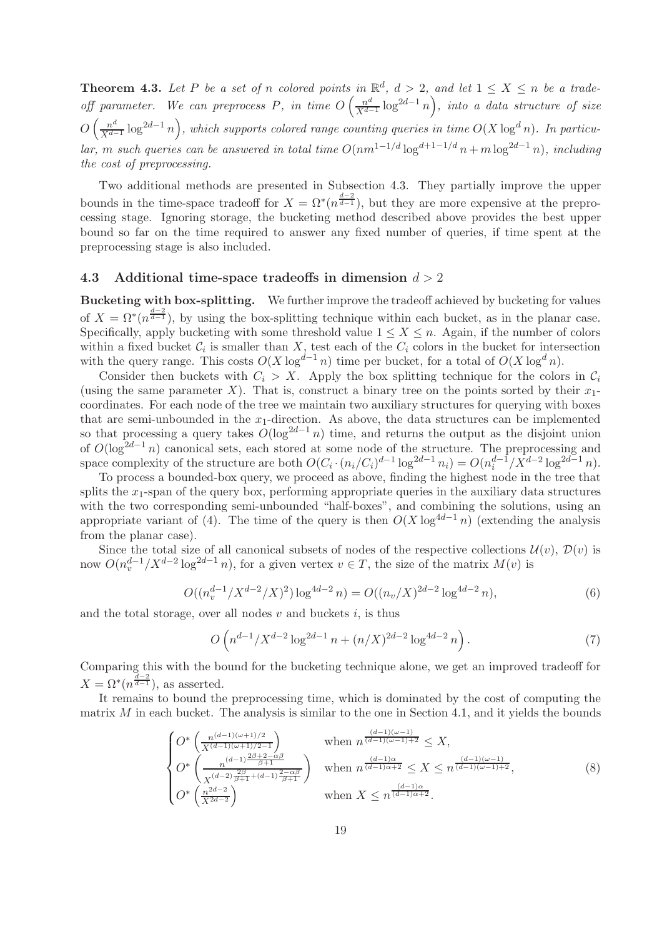**Theorem 4.3.** Let P be a set of n colored points in  $\mathbb{R}^d$ ,  $d > 2$ , and let  $1 \leq X \leq n$  be a tradeoff parameter. We can preprocess P, in time  $O\left(\frac{n^d}{X^d}\right)$  $\frac{n^d}{X^{d-1}} \log^{2d-1} n$ , into a data structure of size  $O\left(\frac{n^d}{\sqrt{d}}\right)$  $\frac{n^d}{X^{d-1}}\log^{2d-1} n\Big)$ , which supports colored range counting queries in time  $O(X\log^d n)$ . In particular, m such queries can be answered in total time  $O(nm^{1-1/d} \log^{d+1-1/d} n + m \log^{2d-1} n)$ , including the cost of preprocessing.

Two additional methods are presented in Subsection 4.3. They partially improve the upper bounds in the time-space tradeoff for  $X = \Omega^*(n^{\frac{d-2}{d-1}})$ , but they are more expensive at the preprocessing stage. Ignoring storage, the bucketing method described above provides the best upper bound so far on the time required to answer any fixed number of queries, if time spent at the preprocessing stage is also included.

### 4.3 Additional time-space tradeoffs in dimension  $d > 2$

Bucketing with box-splitting. We further improve the tradeoff achieved by bucketing for values of  $X = \Omega^*(n^{\frac{d-2}{d-1}})$ , by using the box-splitting technique within each bucket, as in the planar case. Specifically, apply bucketing with some threshold value  $1 \leq X \leq n$ . Again, if the number of colors within a fixed bucket  $C_i$  is smaller than  $X$ , test each of the  $C_i$  colors in the bucket for intersection with the query range. This costs  $O(X \log^{d-1} n)$  time per bucket, for a total of  $O(X \log^d n)$ .

Consider then buckets with  $C_i > X$ . Apply the box splitting technique for the colors in  $C_i$ (using the same parameter X). That is, construct a binary tree on the points sorted by their  $x_1$ coordinates. For each node of the tree we maintain two auxiliary structures for querying with boxes that are semi-unbounded in the  $x_1$ -direction. As above, the data structures can be implemented so that processing a query takes  $O(\log^{2d-1} n)$  time, and returns the output as the disjoint union of  $O(\log^{2d-1} n)$  canonical sets, each stored at some node of the structure. The preprocessing and space complexity of the structure are both  $O(C_i \cdot (n_i/C_i)^{d-1} \log^{2d-1} n_i) = O(n_i^{d-1}/X^{d-2} \log^{2d-1} n)$ .

To process a bounded-box query, we proceed as above, finding the highest node in the tree that splits the  $x_1$ -span of the query box, performing appropriate queries in the auxiliary data structures with the two corresponding semi-unbounded "half-boxes", and combining the solutions, using an appropriate variant of (4). The time of the query is then  $O(X \log^{4d-1} n)$  (extending the analysis from the planar case).

Since the total size of all canonical subsets of nodes of the respective collections  $\mathcal{U}(v)$ ,  $\mathcal{D}(v)$  is now  $O(n_v^{d-1}/X^{d-2}\log^{2d-1} n)$ , for a given vertex  $v \in T$ , the size of the matrix  $M(v)$  is

$$
O((n_v^{d-1}/X^{d-2}/X)^2)\log^{4d-2} n) = O((n_v/X)^{2d-2}\log^{4d-2} n),\tag{6}
$$

and the total storage, over all nodes  $v$  and buckets  $i$ , is thus

$$
O\left(n^{d-1}/X^{d-2}\log^{2d-1}n + (n/X)^{2d-2}\log^{4d-2}n\right).
$$
 (7)

Comparing this with the bound for the bucketing technique alone, we get an improved tradeoff for  $X = \Omega^*(n^{\frac{d-2}{d-1}})$ , as asserted.

It remains to bound the preprocessing time, which is dominated by the cost of computing the matrix  $M$  in each bucket. The analysis is similar to the one in Section 4.1, and it yields the bounds

$$
\begin{cases} O^* \left( \frac{n^{(d-1)(\omega+1)/2}}{X^{(d-1)(\omega+1)/2-1}} \right) & \text{when } n^{\frac{(d-1)(\omega-1)}{(d-1)(\omega-1)+2}} \le X, \\ O^* \left( \frac{n^{(d-1)\frac{2\beta+2-\alpha\beta}{\beta+1}}}{X^{(d-2)\frac{2\beta}{\beta+1}+(d-1)\frac{2-\alpha\beta}{\beta+1}}} \right) & \text{when } n^{\frac{(d-1)\alpha}{(d-1)\alpha+2}} \le X \le n^{\frac{(d-1)(\omega-1)}{(d-1)(\omega-1)+2}}, \\ O^* \left( \frac{n^{2d-2}}{X^{2d-2}} \right) & \text{when } X \le n^{\frac{(d-1)\alpha}{(d-1)\alpha+2}}. \end{cases} (8)
$$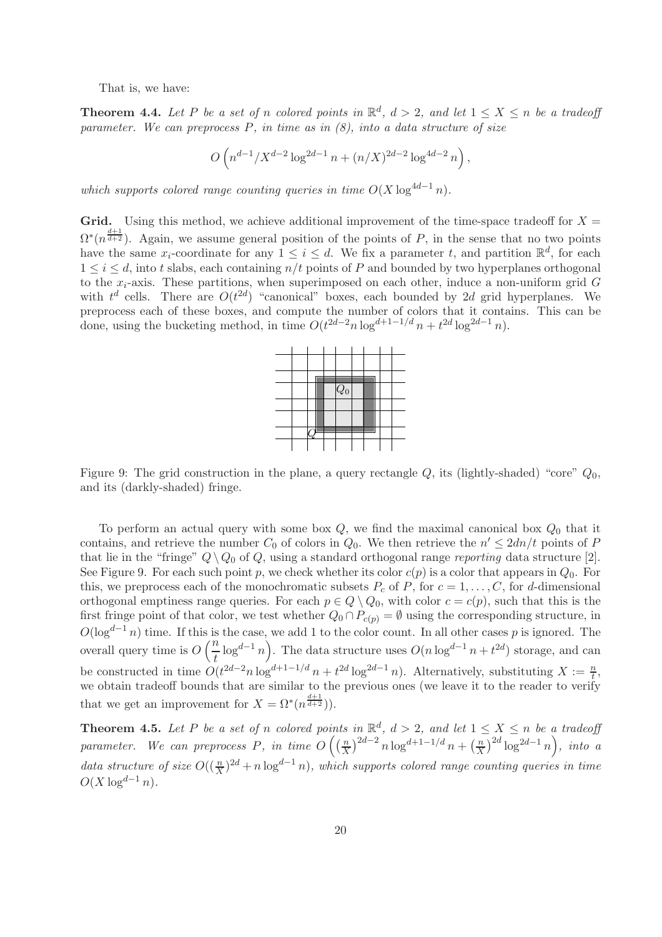That is, we have:

**Theorem 4.4.** Let P be a set of n colored points in  $\mathbb{R}^d$ ,  $d > 2$ , and let  $1 \le X \le n$  be a tradeoff parameter. We can preprocess  $P$ , in time as in  $(8)$ , into a data structure of size

$$
O\left(n^{d-1}/X^{d-2}\log^{2d-1} n + (n/X)^{2d-2}\log^{4d-2} n\right),\,
$$

which supports colored range counting queries in time  $O(X \log^{4d-1} n)$ .

Grid. Using this method, we achieve additional improvement of the time-space tradeoff for  $X =$  $\Omega^*(n^{\frac{d+1}{d+2}})$ . Again, we assume general position of the points of P, in the sense that no two points have the same  $x_i$ -coordinate for any  $1 \leq i \leq d$ . We fix a parameter t, and partition  $\mathbb{R}^d$ , for each  $1 \leq i \leq d$ , into t slabs, each containing  $n/t$  points of P and bounded by two hyperplanes orthogonal to the  $x_i$ -axis. These partitions, when superimposed on each other, induce a non-uniform grid  $G$ with  $t^d$  cells. There are  $O(t^{2d})$  "canonical" boxes, each bounded by 2d grid hyperplanes. We preprocess each of these boxes, and compute the number of colors that it contains. This can be done, using the bucketing method, in time  $O(t^{2d-2}n \log^{d+1-1/d} n + t^{2d} \log^{2d-1} n)$ .



Figure 9: The grid construction in the plane, a query rectangle  $Q$ , its (lightly-shaded) "core"  $Q_0$ , and its (darkly-shaded) fringe.

To perform an actual query with some box  $Q$ , we find the maximal canonical box  $Q_0$  that it contains, and retrieve the number  $C_0$  of colors in  $Q_0$ . We then retrieve the  $n' \leq 2dn/t$  points of P that lie in the "fringe"  $Q \setminus Q_0$  of Q, using a standard orthogonal range reporting data structure [2]. See Figure 9. For each such point p, we check whether its color  $c(p)$  is a color that appears in  $Q_0$ . For this, we preprocess each of the monochromatic subsets  $P_c$  of P, for  $c = 1, \ldots, C$ , for d-dimensional orthogonal emptiness range queries. For each  $p \in Q \setminus Q_0$ , with color  $c = c(p)$ , such that this is the first fringe point of that color, we test whether  $Q_0 \cap P_{c(p)} = \emptyset$  using the corresponding structure, in  $O(\log^{d-1} n)$  time. If this is the case, we add 1 to the color count. In all other cases p is ignored. The overall query time is  $O\left(\frac{n}{t}\right)$  $\left(\frac{1}{t}\log^{d-1} n\right)$ . The data structure uses  $O(n \log^{d-1} n + t^{2d})$  storage, and can be constructed in time  $O(t^{2d-2}n\log^{d+1-1/d} n + t^{2d}\log^{2d-1} n)$ . Alternatively, substituting  $X := \frac{n}{t}$ , we obtain tradeoff bounds that are similar to the previous ones (we leave it to the reader to verify that we get an improvement for  $X = \Omega^*(n^{\frac{d+1}{d+2}})$ .

**Theorem 4.5.** Let P be a set of n colored points in  $\mathbb{R}^d$ ,  $d > 2$ , and let  $1 \le X \le n$  be a tradeoff parameter. We can preprocess P, in time  $O\left(\left(\frac{n}{X}\right)^{1/2}\right)$  $\int \frac{n}{X}$ )<sup>2d-2</sup> n log<sup>d+1-1/d</sup> n +  $\left(\frac{n}{X}\right)$  $\int \frac{n}{X}$ )<sup>2d</sup> log<sup>2d-1</sup>n), into a data structure of size  $O((\frac{n}{X})^{2d} + n \log^{d-1} n)$ , which supports colored range counting queries in time  $O(X \log^{d-1} n)$ .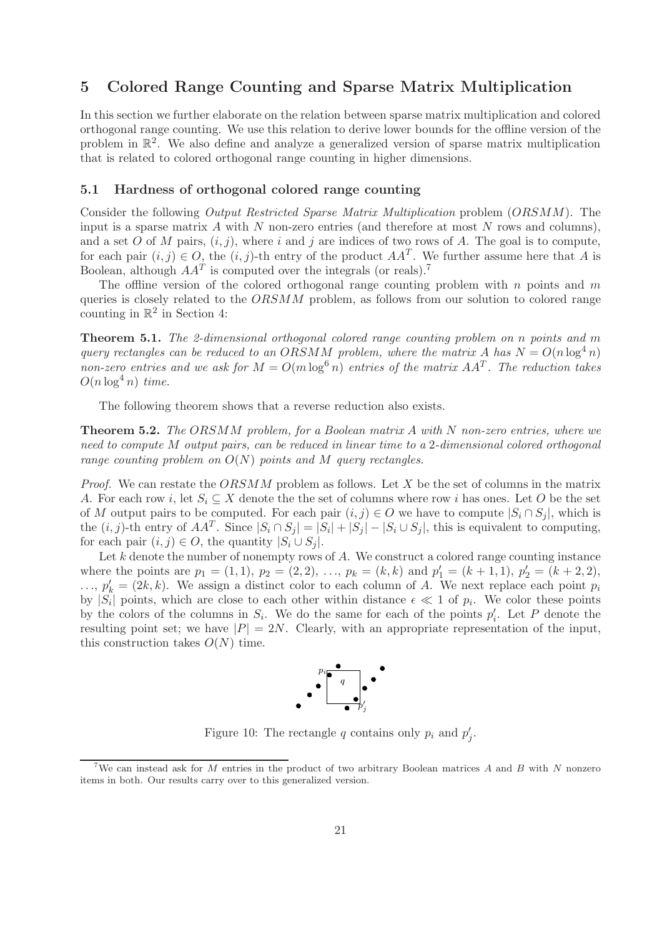# 5 Colored Range Counting and Sparse Matrix Multiplication

In this section we further elaborate on the relation between sparse matrix multiplication and colored orthogonal range counting. We use this relation to derive lower bounds for the offline version of the problem in  $\mathbb{R}^2$ . We also define and analyze a generalized version of sparse matrix multiplication that is related to colored orthogonal range counting in higher dimensions.

#### 5.1 Hardness of orthogonal colored range counting

Consider the following Output Restricted Sparse Matrix Multiplication problem (ORSMM). The input is a sparse matrix  $\tilde{A}$  with  $\tilde{N}$  non-zero entries (and therefore at most  $\tilde{N}$  rows and columns), and a set O of M pairs,  $(i, j)$ , where i and j are indices of two rows of A. The goal is to compute, for each pair  $(i, j) \in O$ , the  $(i, j)$ -th entry of the product  $AA<sup>T</sup>$ . We further assume here that A is Boolean, although  $AA<sup>T</sup>$  is computed over the integrals (or reals).<sup>7</sup>

The offline version of the colored orthogonal range counting problem with  $n$  points and  $m$ queries is closely related to the  $ORSMM$  problem, as follows from our solution to colored range counting in  $\mathbb{R}^2$  in Section 4:

Theorem 5.1. The 2-dimensional orthogonal colored range counting problem on n points and m query rectangles can be reduced to an ORSMM problem, where the matrix A has  $N = O(n \log^4 n)$ non-zero entries and we ask for  $M = O(m \log^6 n)$  entries of the matrix  $AA<sup>T</sup>$ . The reduction takes  $O(n \log^4 n)$  time.

The following theorem shows that a reverse reduction also exists.

Theorem 5.2. The ORSMM problem, for a Boolean matrix A with N non-zero entries, where we need to compute M output pairs, can be reduced in linear time to a 2-dimensional colored orthogonal range counting problem on  $O(N)$  points and M query rectangles.

*Proof.* We can restate the  $ORSMM$  problem as follows. Let X be the set of columns in the matrix A. For each row i, let  $S_i \subseteq X$  denote the set of columns where row i has ones. Let O be the set of M output pairs to be computed. For each pair  $(i, j) \in O$  we have to compute  $|S_i \cap S_j|$ , which is the  $(i, j)$ -th entry of  $AA^T$ . Since  $|S_i \cap S_j| = |S_i| + |S_j| - |S_i \cup S_j|$ , this is equivalent to computing, for each pair  $(i, j) \in O$ , the quantity  $|S_i \cup S_j|$ .

Let  $k$  denote the number of nonempty rows of  $A$ . We construct a colored range counting instance where the points are  $p_1 = (1, 1), p_2 = (2, 2), \ldots, p_k = (k, k)$  and  $p'_1 = (k + 1, 1), p'_2 = (k + 2, 2),$  $\ldots, p'_k = (2k, k)$ . We assign a distinct color to each column of A. We next replace each point  $p_i$ by  $|S_i|$  points, which are close to each other within distance  $\epsilon \ll 1$  of  $p_i$ . We color these points by the colors of the columns in  $S_i$ . We do the same for each of the points  $p'_i$ . Let P denote the resulting point set; we have  $|P| = 2N$ . Clearly, with an appropriate representation of the input, this construction takes  $O(N)$  time.



Figure 10: The rectangle q contains only  $p_i$  and  $p'_j$ .

<sup>&</sup>lt;sup>7</sup>We can instead ask for M entries in the product of two arbitrary Boolean matrices A and B with N nonzero items in both. Our results carry over to this generalized version.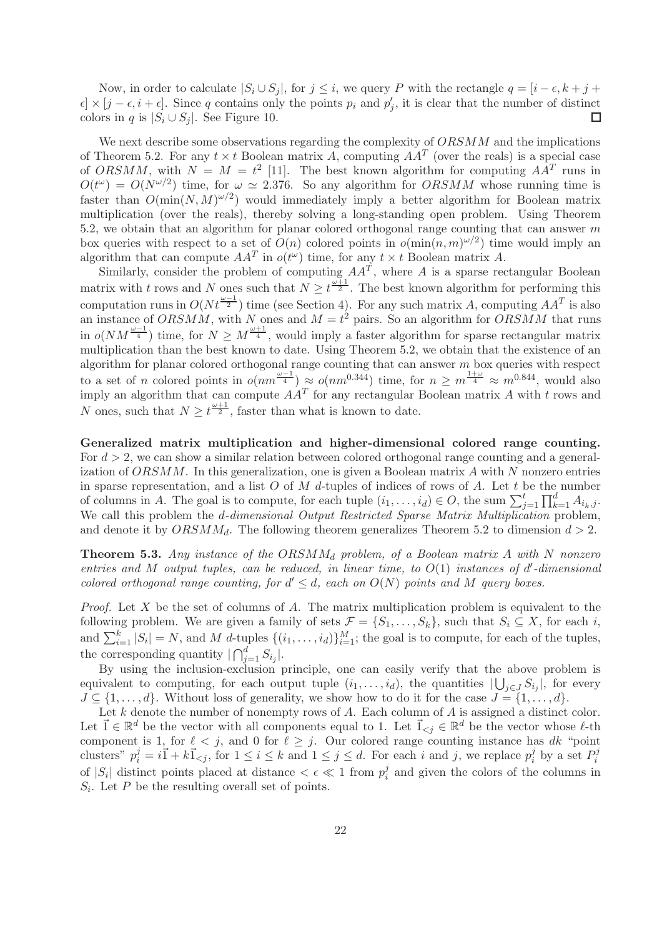Now, in order to calculate  $|S_i \cup S_j|$ , for  $j \leq i$ , we query P with the rectangle  $q = [i - \epsilon, k + j + j]$  $\epsilon \times [j - \epsilon, i + \epsilon]$ . Since q contains only the points  $p_i$  and  $p'_j$ , it is clear that the number of distinct colors in q is  $|S_i \cup S_j|$ . See Figure 10. Г

We next describe some observations regarding the complexity of  $ORSMM$  and the implications of Theorem 5.2. For any  $t \times t$  Boolean matrix A, computing  $AA<sup>T</sup>$  (over the reals) is a special case of ORSMM, with  $N = M = t^2$  [11]. The best known algorithm for computing  $AA<sup>T</sup>$  runs in  $O(t^{\omega}) = O(N^{\omega/2})$  time, for  $\omega \simeq 2.376$ . So any algorithm for  $ORSMM$  whose running time is faster than  $O(\min(N, M)^{\omega/2})$  would immediately imply a better algorithm for Boolean matrix multiplication (over the reals), thereby solving a long-standing open problem. Using Theorem 5.2, we obtain that an algorithm for planar colored orthogonal range counting that can answer  $m$ box queries with respect to a set of  $O(n)$  colored points in  $o(\min(n,m)^{\omega/2})$  time would imply an algorithm that can compute  $AA^T$  in  $o(t^{\omega})$  time, for any  $t \times t$  Boolean matrix A.

Similarly, consider the problem of computing  $AA<sup>T</sup>$ , where A is a sparse rectangular Boolean matrix with t rows and N ones such that  $N \geq t^{\frac{\omega+1}{2}}$ . The best known algorithm for performing this computation runs in  $O(Nt^{\frac{\omega-1}{2}})$  time (see Section 4). For any such matrix A, computing  $AA^T$  is also an instance of  $ORSMM$ , with N ones and  $M = t^2$  pairs. So an algorithm for  $ORSMM$  that runs in  $o(NM^{\frac{\omega-1}{4}})$  time, for  $N \geq M^{\frac{\omega+1}{4}}$ , would imply a faster algorithm for sparse rectangular matrix multiplication than the best known to date. Using Theorem 5.2, we obtain that the existence of an algorithm for planar colored orthogonal range counting that can answer  $m$  box queries with respect to a set of n colored points in  $o(nm^{\frac{\omega-1}{4}}) \approx o(nm^{0.344})$  time, for  $n \geq m^{\frac{1+\omega}{4}} \approx m^{0.844}$ , would also imply an algorithm that can compute  $AA<sup>T</sup>$  for any rectangular Boolean matrix A with t rows and N ones, such that  $N \geq t^{\frac{\omega+1}{2}}$ , faster than what is known to date.

Generalized matrix multiplication and higher-dimensional colored range counting. For  $d > 2$ , we can show a similar relation between colored orthogonal range counting and a generalization of  $ORSMM$ . In this generalization, one is given a Boolean matrix A with N nonzero entries in sparse representation, and a list  $O$  of  $M$  d-tuples of indices of rows of  $A$ . Let  $t$  be the number of columns in A. The goal is to compute, for each tuple  $(i_1, \ldots, i_d) \in O$ , the sum  $\sum_{j=1}^t \prod_{k=1}^d A_{i_k,j}$ . We call this problem the *d-dimensional Output Restricted Sparse Matrix Multiplication* problem, and denote it by  $ORSMM_d$ . The following theorem generalizes Theorem 5.2 to dimension  $d > 2$ .

**Theorem 5.3.** Any instance of the  $ORSMM_d$  problem, of a Boolean matrix A with N nonzero entries and M output tuples, can be reduced, in linear time, to  $O(1)$  instances of d'-dimensional colored orthogonal range counting, for  $d' \leq d$ , each on  $O(N)$  points and M query boxes.

*Proof.* Let X be the set of columns of A. The matrix multiplication problem is equivalent to the following problem. We are given a family of sets  $\mathcal{F} = \{S_1, \ldots, S_k\}$ , such that  $S_i \subseteq X$ , for each i, and  $\sum_{i=1}^k |S_i| = N$ , and M d-tuples  $\{(i_1, \ldots, i_d)\}_{i=1}^M$ ; the goal is to compute, for each of the tuples, the corresponding quantity  $\bigcap_{j=1}^d S_{i_j}\big|$ .

By using the inclusion-exclusion principle, one can easily verify that the above problem is equivalent to computing, for each output tuple  $(i_1, \ldots, i_d)$ , the quantities  $|\bigcup_{j \in J} S_{i_j}|$ , for every  $J \subseteq \{1, \ldots, d\}$ . Without loss of generality, we show how to do it for the case  $J = \{1, \ldots, d\}$ .

Let  $k$  denote the number of nonempty rows of  $A$ . Each column of  $A$  is assigned a distinct color. Let  $\vec{1} \in \mathbb{R}^d$  be the vector with all components equal to 1. Let  $\vec{1}_{\leq j} \in \mathbb{R}^d$  be the vector whose  $\ell$ -th component is 1, for  $\ell \leq j$ , and 0 for  $\ell \geq j$ . Our colored range counting instance has dk "point" clusters"  $p_i^j = i\overline{1} + k\overline{1}_{\le j}$ , for  $1 \le i \le k$  and  $1 \le j \le d$ . For each i and j, we replace  $p_i^j$  $i$  by a set  $P_i^j$ i of  $|S_i|$  distinct points placed at distance  $\lt \epsilon \ll 1$  from  $p_i^j$  $i_i$  and given the colors of the columns in  $S_i$ . Let P be the resulting overall set of points.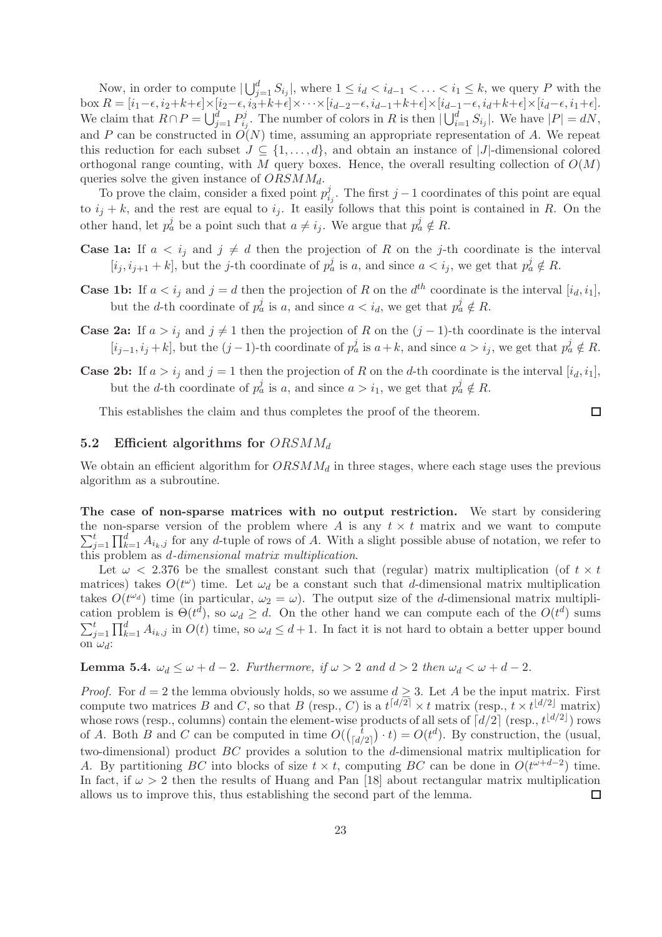Now, in order to compute  $|\bigcup_{j=1}^d S_{i_j}|$ , where  $1 \leq i_d < i_{d-1} < \ldots < i_1 \leq k$ , we query P with the box  $R = [i_1-\epsilon, i_2+k+\epsilon] \times [i_2-\epsilon, i_3+k+\epsilon] \times \cdots \times [i_{d-2}-\epsilon, i_{d-1}+k+\epsilon] \times [i_{d-1}-\epsilon, i_d+k+\epsilon] \times [i_d-\epsilon, i_1+\epsilon]$ . We claim that  $R \cap P = \bigcup_{j=1}^d P_{i_j}^j$  $i_j^j$ . The number of colors in R is then  $|\bigcup_{i=1}^d S_{i_j}|$ . We have  $|P|=dN$ , and P can be constructed in  $O(N)$  time, assuming an appropriate representation of A. We repeat this reduction for each subset  $J \subseteq \{1, \ldots, d\}$ , and obtain an instance of |J|-dimensional colored orthogonal range counting, with M query boxes. Hence, the overall resulting collection of  $O(M)$ queries solve the given instance of  $ORSMM_d$ .

To prove the claim, consider a fixed point  $p_i^j$  $i_j$ . The first j – 1 coordinates of this point are equal to  $i_j + k$ , and the rest are equal to  $i_j$ . It easily follows that this point is contained in R. On the other hand, let  $p_a^j$  be a point such that  $a \neq i_j$ . We argue that  $p_a^j \notin R$ .

- **Case 1a:** If  $a < i_j$  and  $j \neq d$  then the projection of R on the j-th coordinate is the interval  $[i_j, i_{j+1} + k]$ , but the j-th coordinate of  $p_a^j$  is a, and since  $a < i_j$ , we get that  $p_a^j \notin R$ .
- **Case 1b:** If  $a < i_j$  and  $j = d$  then the projection of R on the  $d^{th}$  coordinate is the interval  $[i_d, i_1]$ , but the d-th coordinate of  $p_a^j$  is a, and since  $a < i_d$ , we get that  $p_a^j \notin R$ .
- **Case 2a:** If  $a > i_j$  and  $j \neq 1$  then the projection of R on the  $(j 1)$ -th coordinate is the interval  $[i_{j-1}, i_j + k]$ , but the  $(j-1)$ -th coordinate of  $p_a^j$  is  $a+k$ , and since  $a > i_j$ , we get that  $p_a^j \notin R$ .
- **Case 2b:** If  $a > i_j$  and  $j = 1$  then the projection of R on the d-th coordinate is the interval  $[i_d, i_1]$ , but the d-th coordinate of  $p_a^j$  is a, and since  $a > i_1$ , we get that  $p_a^j \notin R$ .

 $\Box$ 

This establishes the claim and thus completes the proof of the theorem.

#### 5.2 Efficient algorithms for  $ORSMM_d$

We obtain an efficient algorithm for  $ORSMM_d$  in three stages, where each stage uses the previous algorithm as a subroutine.

The case of non-sparse matrices with no output restriction. We start by considering the non-sparse version of the problem where A is any  $t \times t$  matrix and we want to compute  $\sum_{i}^{t}$  $\prod_{j=1}^t \prod_{k=1}^d A_{i_k,j}$  for any d-tuple of rows of A. With a slight possible abuse of notation, we refer to this problem as  $d$ -dimensional matrix multiplication.

Let  $\omega$  < 2.376 be the smallest constant such that (regular) matrix multiplication (of  $t \times t$ ) matrices) takes  $O(t^{\omega})$  time. Let  $\omega_d$  be a constant such that d-dimensional matrix multiplication takes  $O(t^{\omega_d})$  time (in particular,  $\omega_2 = \omega$ ). The output size of the *d*-dimensional matrix multiplication problem is  $\Theta(t^d)$ , so  $\omega_d \geq d$ . On the other hand we can compute each of the  $O(t^d)$  sums  $\sum_{j=1}^t \prod_{k=1}^d A_{i_k,j}$  in  $O(t)$  time, so  $\omega_d \leq d+1$ . In fact it is not hard to obtain a better upper bound on  $\omega_d$ :

**Lemma 5.4.**  $\omega_d \leq \omega + d - 2$ . Furthermore, if  $\omega > 2$  and  $d > 2$  then  $\omega_d < \omega + d - 2$ .

*Proof.* For  $d = 2$  the lemma obviously holds, so we assume  $d \geq 3$ . Let A be the input matrix. First compute two matrices B and C, so that B (resp., C) is a  $t^{[d/2]} \times t$  matrix (resp.,  $t \times t^{[d/2]}$  matrix) whose rows (resp., columns) contain the element-wise products of all sets of  $\lceil d/2 \rceil$  (resp.,  $t^{\lfloor d/2 \rfloor}$ ) rows of A. Both B and C can be computed in time  $O(\begin{pmatrix} t \\ fd \end{pmatrix})$  $\begin{pmatrix} t \\ \lfloor d/2 \rfloor \end{pmatrix} \cdot t$  =  $O(t^d)$ . By construction, the (usual, two-dimensional) product BC provides a solution to the d-dimensional matrix multiplication for A. By partitioning BC into blocks of size  $t \times t$ , computing BC can be done in  $O(t^{\omega+d-2})$  time. In fact, if  $\omega > 2$  then the results of Huang and Pan [18] about rectangular matrix multiplication allows us to improve this, thus establishing the second part of the lemma.  $\Box$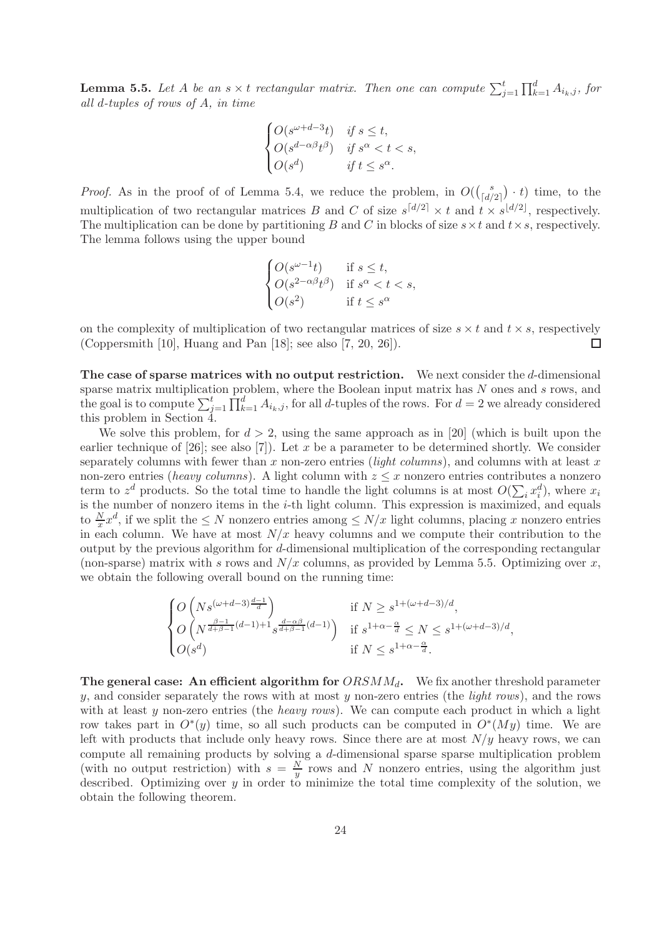**Lemma 5.5.** Let A be an  $s \times t$  rectangular matrix. Then one can compute  $\sum_{j=1}^{t} \prod_{k=1}^{d} A_{i_k,j}$ , for all d-tuples of rows of A, in time

$$
\begin{cases} O(s^{\omega+d-3}t) & \text{if } s \leq t, \\ O(s^{d-\alpha\beta}t^{\beta}) & \text{if } s^{\alpha} < t < s, \\ O(s^d) & \text{if } t \leq s^{\alpha}. \end{cases}
$$

*Proof.* As in the proof of of Lemma 5.4, we reduce the problem, in  $O(\frac{s}{\epsilon d})$  $\binom{s}{\lfloor d/2 \rfloor} \cdot t$  time, to the multiplication of two rectangular matrices B and C of size  $s^{[d/2]} \times t$  and  $t \times s^{[d/2]}$ , respectively. The multiplication can be done by partitioning B and C in blocks of size  $s \times t$  and  $t \times s$ , respectively. The lemma follows using the upper bound

$$
\begin{cases} O(s^{\omega - 1}t) & \text{if } s \leq t, \\ O(s^{2 - \alpha \beta}t^{\beta}) & \text{if } s^{\alpha} < t < s, \\ O(s^2) & \text{if } t \leq s^{\alpha} \end{cases}
$$

on the complexity of multiplication of two rectangular matrices of size  $s \times t$  and  $t \times s$ , respectively (Coppersmith [10], Huang and Pan [18]; see also [7, 20, 26]). □

The case of sparse matrices with no output restriction. We next consider the d-dimensional sparse matrix multiplication problem, where the Boolean input matrix has N ones and s rows, and the goal is to compute  $\sum_{j=1}^t \prod_{k=1}^d A_{i_k,j}$ , for all d-tuples of the rows. For  $d=2$  we already considered this problem in Section  $4$ .

We solve this problem, for  $d > 2$ , using the same approach as in [20] (which is built upon the earlier technique of  $[26]$ ; see also  $[7]$ ). Let x be a parameter to be determined shortly. We consider separately columns with fewer than x non-zero entries (*light columns*), and columns with at least x non-zero entries (*heavy columns*). A light column with  $z \leq x$  nonzero entries contributes a nonzero term to  $z^d$  products. So the total time to handle the light columns is at most  $O(\sum_i x_i^d)$ , where  $x_i$ is the number of nonzero items in the *i*-th light column. This expression is maximized, and equals is the number of nonzero items in the *i*-th light column. This expression is maximized, and equals to  $\frac{N}{x}x^d$ , if we split the  $\leq N$  nonzero entries among  $\leq N/x$  light columns, placing x nonzero entries in each column. We have at most  $N/x$  heavy columns and we compute their contribution to the output by the previous algorithm for d-dimensional multiplication of the corresponding rectangular (non-sparse) matrix with s rows and  $N/x$  columns, as provided by Lemma 5.5. Optimizing over x, we obtain the following overall bound on the running time:

$$
\begin{cases} O\left(Ns^{(\omega+d-3)\frac{d-1}{d}}\right) & \text{if } N \geq s^{1+(\omega+d-3)/d}, \\ O\left(N^{\frac{\beta-1}{d+\beta-1}(d-1)+1} s^{\frac{d-\alpha\beta}{d+\beta-1}(d-1)}\right) & \text{if } s^{1+\alpha-\frac{\alpha}{d}} \leq N \leq s^{1+(\omega+d-3)/d}, \\ O(s^d) & \text{if } N \leq s^{1+\alpha-\frac{\alpha}{d}}. \end{cases}
$$

The general case: An efficient algorithm for  $ORSMM_d$ . We fix another threshold parameter y, and consider separately the rows with at most y non-zero entries (the *light rows*), and the rows with at least  $y$  non-zero entries (the *heavy rows*). We can compute each product in which a light row takes part in  $O^*(y)$  time, so all such products can be computed in  $O^*(My)$  time. We are left with products that include only heavy rows. Since there are at most  $N/y$  heavy rows, we can compute all remaining products by solving a d-dimensional sparse sparse multiplication problem (with no output restriction) with  $s = \frac{N}{u}$  $\frac{N}{y}$  rows and N nonzero entries, using the algorithm just described. Optimizing over  $y$  in order to minimize the total time complexity of the solution, we obtain the following theorem.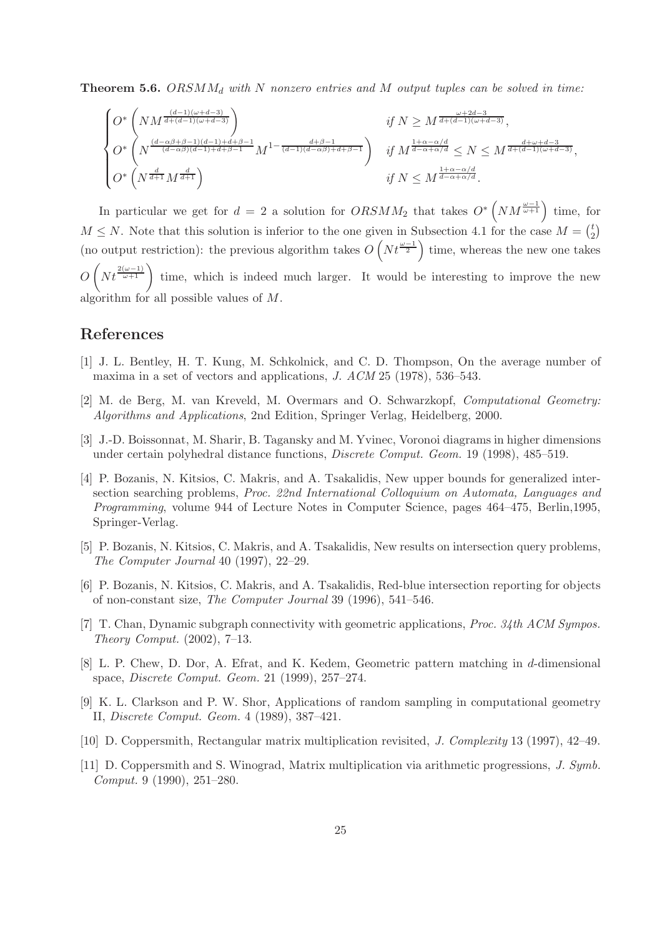**Theorem 5.6.** ORSM $M_d$  with N nonzero entries and M output tuples can be solved in time:

$$
\begin{cases} O^*\left(NM^{\frac{(d-1)(\omega+d-3)}{d+(d-1)(\omega+d-3)}}\right) & \text{if } N \geq M^{\frac{\omega+2d-3}{d+(d-1)(\omega+d-3)}}, \\ O^*\left(N^{\frac{(d-\alpha\beta+\beta-1)(d-1)+d+\beta-1}{(d-\alpha\beta)(d-1)+d+\beta-1}}M^{1-\frac{d+\beta-1}{(d-1)(d-\alpha\beta)+d+\beta-1}}\right) & \text{if } M^{\frac{1+\alpha-\alpha/d}{d-\alpha+\alpha/d}} \leq N \leq M^{\frac{d+\omega+d-3}{d+(d-1)(\omega+d-3)}}, \\ O^*\left(N^{\frac{d}{d+1}}M^{\frac{d}{d+1}}\right) & \text{if } N \leq M^{\frac{1+\alpha-\alpha/d}{d-\alpha+\alpha/d}}. \end{cases}
$$

In particular we get for  $d = 2$  a solution for  $ORSMM_2$  that takes  $O^*\left(NM^{\frac{\omega-1}{\omega+1}}\right)$  time, for  $M \leq N$ . Note that this solution is inferior to the one given in Subsection 4.1 for the case  $M = \binom{t}{2}$  $\binom{t}{2}$ (no output restriction): the previous algorithm takes  $O(Nt^{\frac{\omega-1}{2}})$  time, whereas the new one takes  $O(Nt^{\frac{2(\omega-1)}{\omega+1}})$  time, which is indeed much larger. It would be interesting to improve the new algorithm for all possible values of M.

# References

- [1] J. L. Bentley, H. T. Kung, M. Schkolnick, and C. D. Thompson, On the average number of maxima in a set of vectors and applications, J. ACM 25 (1978), 536–543.
- [2] M. de Berg, M. van Kreveld, M. Overmars and O. Schwarzkopf, Computational Geometry: Algorithms and Applications, 2nd Edition, Springer Verlag, Heidelberg, 2000.
- [3] J.-D. Boissonnat, M. Sharir, B. Tagansky and M. Yvinec, Voronoi diagrams in higher dimensions under certain polyhedral distance functions, Discrete Comput. Geom. 19 (1998), 485–519.
- [4] P. Bozanis, N. Kitsios, C. Makris, and A. Tsakalidis, New upper bounds for generalized intersection searching problems, Proc. 22nd International Colloquium on Automata, Languages and Programming, volume 944 of Lecture Notes in Computer Science, pages 464–475, Berlin,1995, Springer-Verlag.
- [5] P. Bozanis, N. Kitsios, C. Makris, and A. Tsakalidis, New results on intersection query problems, The Computer Journal 40 (1997), 22–29.
- [6] P. Bozanis, N. Kitsios, C. Makris, and A. Tsakalidis, Red-blue intersection reporting for objects of non-constant size, The Computer Journal 39 (1996), 541–546.
- [7] T. Chan, Dynamic subgraph connectivity with geometric applications, Proc. 34th ACM Sympos. Theory Comput. (2002), 7–13.
- [8] L. P. Chew, D. Dor, A. Efrat, and K. Kedem, Geometric pattern matching in d-dimensional space, Discrete Comput. Geom. 21 (1999), 257–274.
- [9] K. L. Clarkson and P. W. Shor, Applications of random sampling in computational geometry II, Discrete Comput. Geom. 4 (1989), 387–421.
- [10] D. Coppersmith, Rectangular matrix multiplication revisited, J. Complexity 13 (1997), 42–49.
- [11] D. Coppersmith and S. Winograd, Matrix multiplication via arithmetic progressions, J. Symb. Comput. 9 (1990), 251–280.